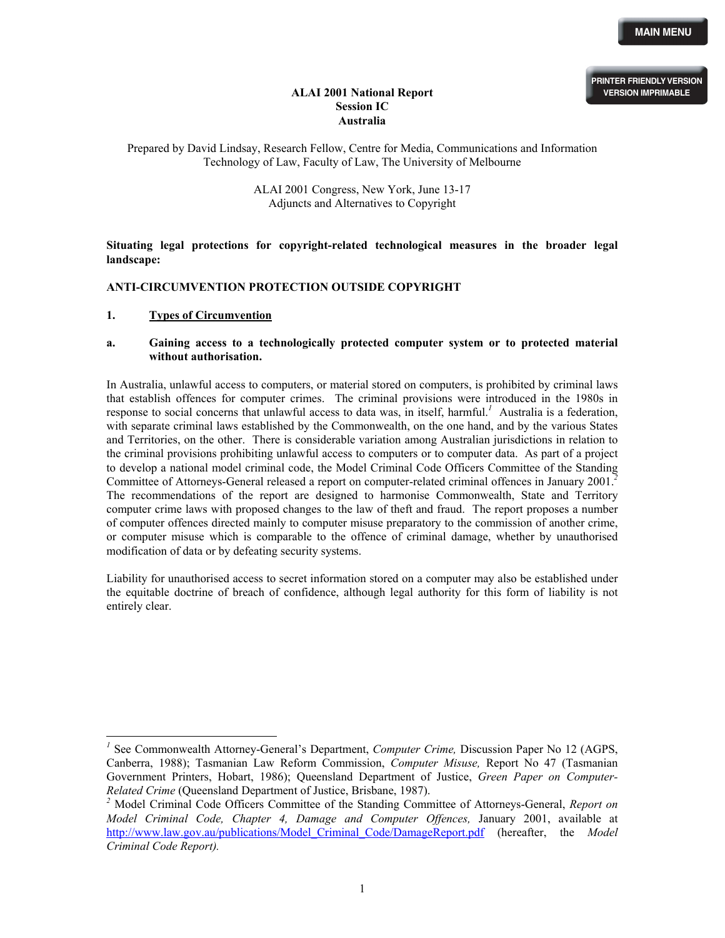**PRINTER FRIENDLY VERSION VERSION IMPRIMABLE**

# **ALAI 2001 National Report Session IC Australia**

Prepared by David Lindsay, Research Fellow, Centre for Media, Communications and Information Technology of Law, Faculty of Law, The University of Melbourne

> ALAI 2001 Congress, New York, June 13-17 Adjuncts and Alternatives to Copyright

**Situating legal protections for copyright-related technological measures in the broader legal landscape:** 

#### **ANTI-CIRCUMVENTION PROTECTION OUTSIDE COPYRIGHT**

#### **1. Types of Circumvention**

-

#### **a. Gaining access to a technologically protected computer system or to protected material without authorisation.**

In Australia, unlawful access to computers, or material stored on computers, is prohibited by criminal laws that establish offences for computer crimes. The criminal provisions were introduced in the 1980s in response to social concerns that unlawful access to data was, in itself, harmful.<sup>[1](#page-0-0)</sup> Australia is a federation, with separate criminal laws established by the Commonwealth, on the one hand, and by the various States and Territories, on the other. There is considerable variation among Australian jurisdictions in relation to the criminal provisions prohibiting unlawful access to computers or to computer data. As part of a project to develop a national model criminal code, the Model Criminal Code Officers Committee of the Standing Committee of Attorneys-General released a report on computer-related criminal offences in January 2001.*[2](#page-0-1)* The recommendations of the report are designed to harmonise Commonwealth, State and Territory computer crime laws with proposed changes to the law of theft and fraud. The report proposes a number of computer offences directed mainly to computer misuse preparatory to the commission of another crime, or computer misuse which is comparable to the offence of criminal damage, whether by unauthorised modification of data or by defeating security systems.

Liability for unauthorised access to secret information stored on a computer may also be established under the equitable doctrine of breach of confidence, although legal authority for this form of liability is not entirely clear.

<span id="page-0-0"></span><sup>&</sup>lt;sup>1</sup> See Commonwealth Attorney-General's Department, *Computer Crime*, Discussion Paper No 12 (AGPS, Canberra, 1988); Tasmanian Law Reform Commission, *Computer Misuse,* Report No 47 (Tasmanian Government Printers, Hobart, 1986); Queensland Department of Justice, *Green Paper on Computer-Related Crime* (Queensland Department of Justice, Brisbane, 1987).

<span id="page-0-1"></span>*<sup>2</sup>* Model Criminal Code Officers Committee of the Standing Committee of Attorneys-General, *Report on Model Criminal Code, Chapter 4, Damage and Computer Offences,* January 2001, available at [http://www.law.gov.au/publications/Model\\_Criminal\\_Code/DamageReport.pdf](http://www.law.gov.au/publications/Model_Criminal_Code/DamageReport.pdf) (hereafter, the *Model Criminal Code Report).*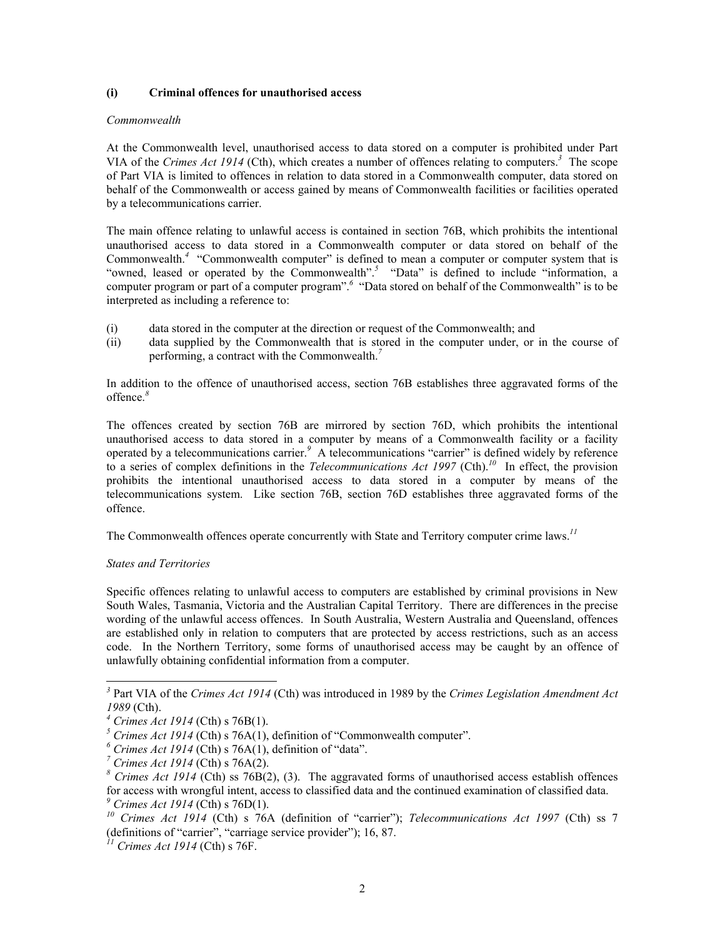#### **(i) Criminal offences for unauthorised access**

#### *Commonwealth*

At the Commonwealth level, unauthorised access to data stored on a computer is prohibited under Part VIA of the *Crimes Act 1914* (Cth), which creates a number of offences relating to computers.*<sup>3</sup>* The scope of Part VIA is limited to offences in relation to data stored in a Commonwealth computer, data stored on behalf of the Commonwealth or access gained by means of Commonwealth facilities or facilities operated by a telecommunications carrier.

The main offence relating to unlawful access is contained in section 76B, which prohibits the intentional unauthorised access to data stored in a Commonwealth computer or data stored on behalf of the Commonwealth.<sup>[4](#page-1-1)</sup> "Commonwealth computer" is defined to mean a computer or computer system that is "owned, leased or operated by the Commonwealth".<sup>[5](#page-1-2)</sup> "Data" is defined to include "information, a computerprogram or part of a computer program".<sup>6</sup> "Data stored on behalf of the Commonwealth" is to be interpreted as including a reference to:

- (i) data stored in the computer at the direction or request of the Commonwealth; and
- (ii) data supplied by the Commonwealth that is stored in the computer under, or in the course of performing, a contract with the Commonwealth. *[7](#page-1-4)*

In addition to the offence of unauthorised access, section 76B establishes three aggravated forms of the offence.*[8](#page-1-5)*

The offences created by section 76B are mirrored by section 76D, which prohibits the intentional unauthorised access to data stored in a computer by means of a Commonwealth facility or a facility operatedby a telecommunications carrier.<sup>9</sup> A telecommunications "carrier" is defined widely by reference to a series of complex definitions in the *Telecommunications Act 1997* (Cth).*[10](#page-1-7)* In effect, the provision prohibits the intentional unauthorised access to data stored in a computer by means of the telecommunications system. Like section 76B, section 76D establishes three aggravated forms of the offence.

The Commonwealth offences operate concurrently with State and Territory computer crime laws.*[11](#page-1-8)*

## *States and Territories*

Specific offences relating to unlawful access to computers are established by criminal provisions in New South Wales, Tasmania, Victoria and the Australian Capital Territory. There are differences in the precise wording of the unlawful access offences. In South Australia, Western Australia and Queensland, offences are established only in relation to computers that are protected by access restrictions, such as an access code. In the Northern Territory, some forms of unauthorised access may be caught by an offence of unlawfully obtaining confidential information from a computer.

<span id="page-1-0"></span>*3* Part VIA of the *Crimes Act 1914* (Cth) was introduced in 1989 by the *Crimes Legislation Amendment Act 1989* (Cth).

<span id="page-1-1"></span>*<sup>4</sup> Crimes Act 1914* (Cth) s 76B(1).

<span id="page-1-2"></span>*<sup>5</sup> Crimes Act 1914* (Cth) s 76A(1), definition of "Commonwealth computer".

<span id="page-1-3"></span>*<sup>6</sup> Crimes Act 1914* (Cth) s 76A(1), definition of "data".

<span id="page-1-4"></span>*<sup>7</sup> Crimes Act 1914* (Cth) s 76A(2).

<span id="page-1-5"></span>*<sup>8</sup> Crimes Act 1914* (Cth) ss 76B(2), (3). The aggravated forms of unauthorised access establish offences for access with wrongful intent, access to classified data and the continued examination of classified data. *<sup>9</sup> Crimes Act 1914* (Cth) s 76D(1).

<span id="page-1-7"></span><span id="page-1-6"></span>*<sup>10</sup> Crimes Act 1914* (Cth) s 76A (definition of "carrier"); *Telecommunications Act 1997* (Cth) ss 7 (definitions of "carrier", "carriage service provider"); 16, 87.

<span id="page-1-8"></span>*<sup>11</sup> Crimes Act 1914* (Cth) s 76F.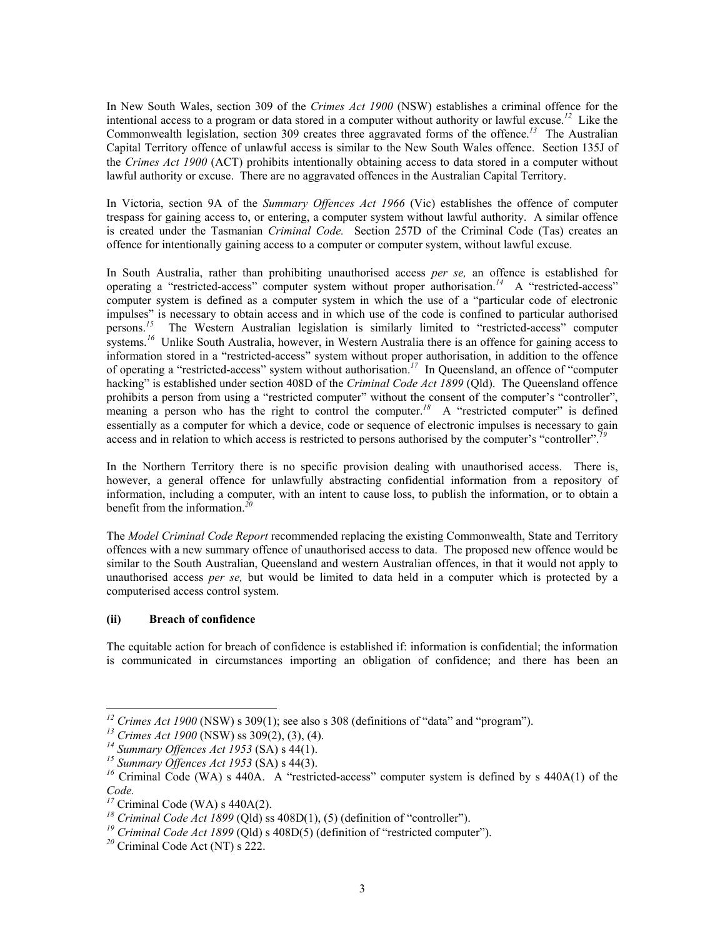In New South Wales, section 309 of the *Crimes Act 1900* (NSW) establishes a criminal offence for the intentional access to a program or data stored in a computer without authority or lawful excuse.*[12](#page-2-0)* Like the Commonwealth legislation, section 309 creates three aggravated forms of the offence.*[13](#page-2-1)* The Australian Capital Territory offence of unlawful access is similar to the New South Wales offence. Section 135J of the *Crimes Act 1900* (ACT) prohibits intentionally obtaining access to data stored in a computer without lawful authority or excuse. There are no aggravated offences in the Australian Capital Territory.

In Victoria, section 9A of the *Summary Offences Act 1966* (Vic) establishes the offence of computer trespass for gaining access to, or entering, a computer system without lawful authority. A similar offence is created under the Tasmanian *Criminal Code.* Section 257D of the Criminal Code (Tas) creates an offence for intentionally gaining access to a computer or computer system, without lawful excuse.

In South Australia, rather than prohibiting unauthorised access *per se,* an offence is established for operating a "restricted-access" computer system without proper authorisation.*[14](#page-2-2)* A "restricted-access" computer system is defined as a computer system in which the use of a "particular code of electronic impulses" is necessary to obtain access and in which use of the code is confined to particular authorised persons.*[15](#page-2-3)* The Western Australian legislation is similarly limited to "restricted-access" computer systems.<sup>[16](#page-2-4)</sup> Unlike South Australia, however, in Western Australia there is an offence for gaining access to information stored in a "restricted-access" system without proper authorisation, in addition to the offence of operating a "restricted-access" system without authorisation.*[17](#page-2-5)* In Queensland, an offence of "computer hacking" is established under section 408D of the *Criminal Code Act 1899* (Qld). The Queensland offence prohibits a person from using a "restricted computer" without the consent of the computer's "controller", meaning a person who has the right to control the computer.<sup>[18](#page-2-6)</sup> A "restricted computer" is defined essentially as a computer for which a device, code or sequence of electronic impulses is necessary to gain access and in relation to which access is restricted to persons authorised by the computer's "controller".*[19](#page-2-7)*

In the Northern Territory there is no specific provision dealing with unauthorised access. There is, however, a general offence for unlawfully abstracting confidential information from a repository of information, including a computer, with an intent to cause loss, to publish the information, or to obtain a benefit from the information. *[20](#page-2-8)*

The *Model Criminal Code Report* recommended replacing the existing Commonwealth, State and Territory offences with a new summary offence of unauthorised access to data. The proposed new offence would be similar to the South Australian, Queensland and western Australian offences, in that it would not apply to unauthorised access *per se,* but would be limited to data held in a computer which is protected by a computerised access control system.

## **(ii) Breach of confidence**

-

The equitable action for breach of confidence is established if: information is confidential; the information is communicated in circumstances importing an obligation of confidence; and there has been an

<span id="page-2-0"></span><sup>&</sup>lt;sup>12</sup> *Crimes Act 1900* (NSW) s 309(1); see also s 308 (definitions of "data" and "program").

<span id="page-2-1"></span>*<sup>13</sup> Crimes Act 1900* (NSW) ss 309(2), (3), (4).

<span id="page-2-2"></span>*<sup>14</sup> Summary Offences Act 1953* (SA) s 44(1).

<span id="page-2-3"></span>*<sup>15</sup> Summary Offences Act 1953* (SA) s 44(3).

<span id="page-2-4"></span><sup>&</sup>lt;sup>16</sup> Criminal Code (WA) s 440A. A "restricted-access" computer system is defined by s 440A(1) of the *Code.*

<span id="page-2-5"></span> $\frac{17}{17}$  Criminal Code (WA) s 440A(2).

<span id="page-2-6"></span>*<sup>18</sup> Criminal Code Act 1899* (Qld) ss 408D(1), (5) (definition of "controller").

<span id="page-2-7"></span>*<sup>19</sup> Criminal Code Act 1899* (Qld) s 408D(5) (definition of "restricted computer").

<span id="page-2-8"></span>*<sup>20</sup>* Criminal Code Act (NT) s 222.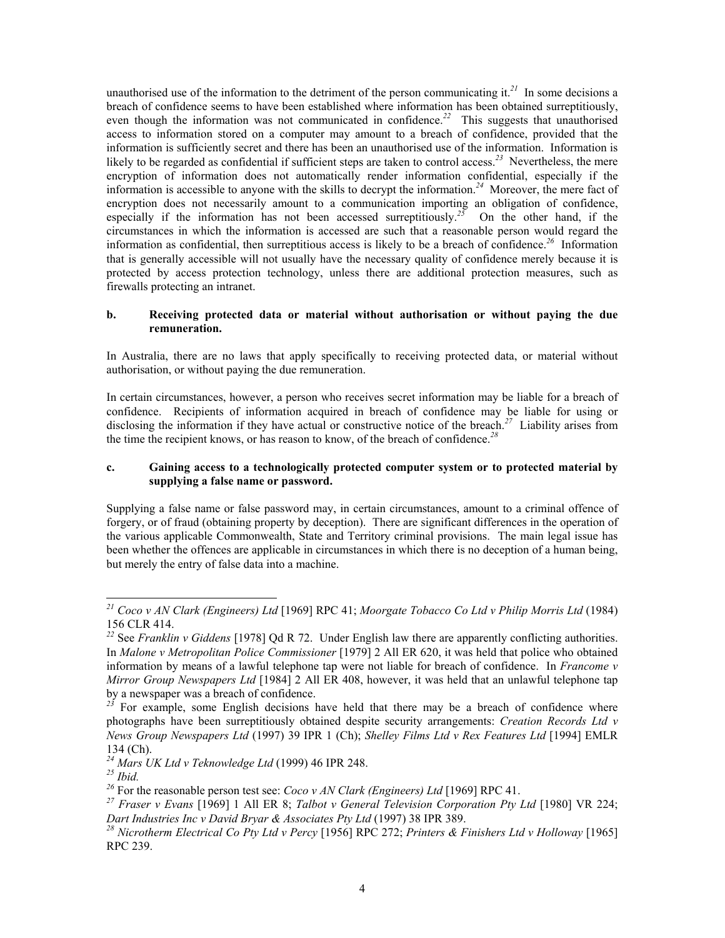unauthorised use of the information to the detriment of the person communicating it.<sup>[21](#page-3-0)</sup> In some decisions a breach of confidence seems to have been established where information has been obtained surreptitiously, even though the information was not communicated in confidence.<sup>[22](#page-3-1)</sup> This suggests that unauthorised access to information stored on a computer may amount to a breach of confidence, provided that the information is sufficiently secret and there has been an unauthorised use of the information. Information is likely to be regarded as confidential if sufficient steps are taken to control access.*[23](#page-3-2)* Nevertheless, the mere encryption of information does not automatically render information confidential, especially if the information is accessible to anyone with the skills to decrypt the information.*[24](#page-3-3)* Moreover, the mere fact of encryption does not necessarily amount to a communication importing an obligation of confidence, especially if the information has not been accessed surreptitiously.<sup>[25](#page-3-4)</sup> On the other hand, if the circumstances in which the information is accessed are such that a reasonable person would regard the information as confidential, then surreptitious access is likely to be a breach of confidence.*[26](#page-3-5)* Information that is generally accessible will not usually have the necessary quality of confidence merely because it is protected by access protection technology, unless there are additional protection measures, such as firewalls protecting an intranet.

## **b. Receiving protected data or material without authorisation or without paying the due remuneration.**

In Australia, there are no laws that apply specifically to receiving protected data, or material without authorisation, or without paying the due remuneration.

In certain circumstances, however, a person who receives secret information may be liable for a breach of confidence. Recipients of information acquired in breach of confidence may be liable for using or disclosing the information if they have actual or constructive notice of the breach.*[27](#page-3-6)* Liability arises from the time the recipient knows, or has reason to know, of the breach of confidence.*[28](#page-3-7)*

#### **c. Gaining access to a technologically protected computer system or to protected material by supplying a false name or password.**

Supplying a false name or false password may, in certain circumstances, amount to a criminal offence of forgery, or of fraud (obtaining property by deception). There are significant differences in the operation of the various applicable Commonwealth, State and Territory criminal provisions. The main legal issue has been whether the offences are applicable in circumstances in which there is no deception of a human being, but merely the entry of false data into a machine.

<span id="page-3-0"></span>*<sup>21</sup> Coco v AN Clark (Engineers) Ltd* [1969] RPC 41; *Moorgate Tobacco Co Ltd v Philip Morris Ltd* (1984) 156 CLR 414.

<span id="page-3-1"></span>*<sup>22</sup>* See *Franklin v Giddens* [1978] Qd R 72. Under English law there are apparently conflicting authorities. In *Malone v Metropolitan Police Commissioner* [1979] 2 All ER 620, it was held that police who obtained information by means of a lawful telephone tap were not liable for breach of confidence. In *Francome v Mirror Group Newspapers Ltd* [1984] 2 All ER 408, however, it was held that an unlawful telephone tap by a newspaper was a breach of confidence.

<span id="page-3-2"></span><sup>&</sup>lt;sup>23</sup> For example, some English decisions have held that there may be a breach of confidence where photographs have been surreptitiously obtained despite security arrangements: *Creation Records Ltd v News Group Newspapers Ltd* (1997) 39 IPR 1 (Ch); *Shelley Films Ltd v Rex Features Ltd* [1994] EMLR 134 (Ch).

<span id="page-3-3"></span>*<sup>24</sup> Mars UK Ltd v Teknowledge Ltd* (1999) 46 IPR 248.

<span id="page-3-4"></span>*<sup>25</sup> Ibid.*

<span id="page-3-5"></span>*<sup>26</sup>* For the reasonable person test see: *Coco v AN Clark (Engineers) Ltd* [1969] RPC 41.

<span id="page-3-6"></span>*<sup>27</sup> Fraser v Evans* [1969] 1 All ER 8; *Talbot v General Television Corporation Pty Ltd* [1980] VR 224; *Dart Industries Inc v David Bryar & Associates Pty Ltd* (1997) 38 IPR 389.

<span id="page-3-7"></span>*<sup>28</sup> Nicrotherm Electrical Co Pty Ltd v Percy* [1956] RPC 272; *Printers & Finishers Ltd v Holloway* [1965] RPC 239.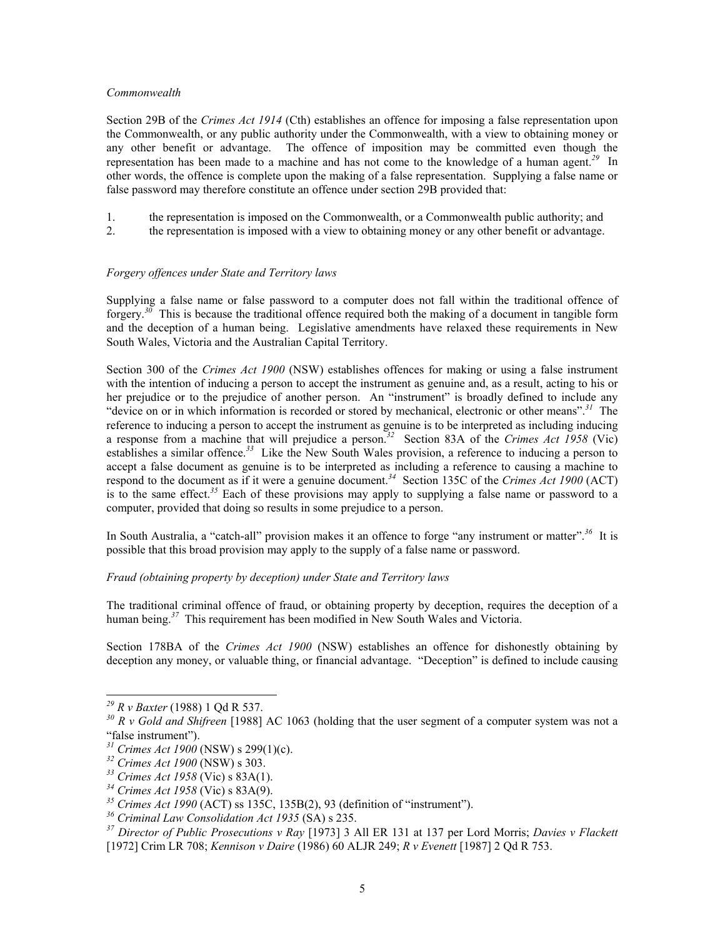#### *Commonwealth*

Section 29B of the *Crimes Act 1914* (Cth) establishes an offence for imposing a false representation upon the Commonwealth, or any public authority under the Commonwealth, with a view to obtaining money or any other benefit or advantage. The offence of imposition may be committed even though the representation has been made to a machine and has not come to the knowledge of a human agent. *[29](#page-4-0)* In other words, the offence is complete upon the making of a false representation. Supplying a false name or false password may therefore constitute an offence under section 29B provided that:

- 1. the representation is imposed on the Commonwealth, or a Commonwealth public authority; and
- 2. the representation is imposed with a view to obtaining money or any other benefit or advantage.

## *Forgery offences under State and Territory laws*

Supplying a false name or false password to a computer does not fall within the traditional offence of forgery. *[30](#page-4-1)* This is because the traditional offence required both the making of a document in tangible form and the deception of a human being. Legislative amendments have relaxed these requirements in New South Wales, Victoria and the Australian Capital Territory.

Section 300 of the *Crimes Act 1900* (NSW) establishes offences for making or using a false instrument with the intention of inducing a person to accept the instrument as genuine and, as a result, acting to his or her prejudice or to the prejudice of another person. An "instrument" is broadly defined to include any "device on or in which information is recorded or stored by mechanical, electronic or other means".*[31](#page-4-2)* The reference to inducing a person to accept the instrument as genuine is to be interpreted as including inducing a response from a machine that will prejudice a person.*[32](#page-4-3)* Section 83A of the *Crimes Act 1958* (Vic) establishes a similar offence.*[33](#page-4-4)* Like the New South Wales provision, a reference to inducing a person to accept a false document as genuine is to be interpreted as including a reference to causing a machine to respond to the document as if it were a genuine document. *[34](#page-4-5)* Section 135C of the *Crimes Act 1900* (ACT) is to the same effect.*[35](#page-4-6)* Each of these provisions may apply to supplying a false name or password to a computer, provided that doing so results in some prejudice to a person.

In South Australia, a "catch-all" provision makes it an offence to forge "any instrument or matter".*[36](#page-4-7)* It is possible that this broad provision may apply to the supply of a false name or password.

## *Fraud (obtaining property by deception) under State and Territory laws*

The traditional criminal offence of fraud, or obtaining property by deception, requires the deception of a human being.<sup>[37](#page-4-8)</sup> This requirement has been modified in New South Wales and Victoria.

Section 178BA of the *Crimes Act 1900* (NSW) establishes an offence for dishonestly obtaining by deception any money, or valuable thing, or financial advantage. "Deception" is defined to include causing

 $\overline{a}$ 

<span id="page-4-0"></span>*<sup>29</sup> R v Baxter* (1988) 1 Qd R 537.

<span id="page-4-1"></span>*<sup>30</sup> R v Gold and Shifreen* [1988] AC 1063 (holding that the user segment of a computer system was not a "false instrument").

<span id="page-4-2"></span>*<sup>31</sup> Crimes Act 1900* (NSW) s 299(1)(c).

<span id="page-4-3"></span>*<sup>32</sup> Crimes Act 1900* (NSW) s 303.

<span id="page-4-4"></span>*<sup>33</sup> Crimes Act 1958* (Vic) s 83A(1).

<span id="page-4-5"></span>*<sup>34</sup> Crimes Act 1958* (Vic) s 83A(9).

<span id="page-4-6"></span>*<sup>35</sup> Crimes Act 1990* (ACT) ss 135C, 135B(2), 93 (definition of "instrument").

<span id="page-4-7"></span>*<sup>36</sup> Criminal Law Consolidation Act 1935* (SA) s 235.

<span id="page-4-8"></span>*<sup>37</sup> Director of Public Prosecutions v Ray* [1973] 3 All ER 131 at 137 per Lord Morris; *Davies v Flackett*  [1972] Crim LR 708; *Kennison v Daire* (1986) 60 ALJR 249; *R v Evenett* [1987] 2 Qd R 753.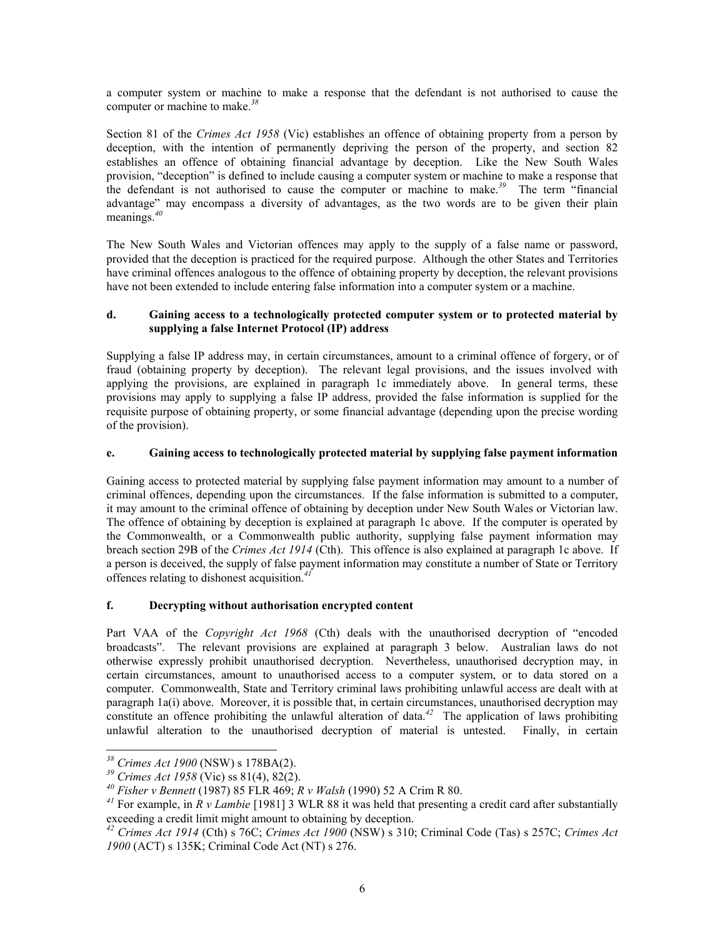a computer system or machine to make a response that the defendant is not authorised to cause the computer or machine to make.*[38](#page-5-0)*

Section 81 of the *Crimes Act 1958* (Vic) establishes an offence of obtaining property from a person by deception, with the intention of permanently depriving the person of the property, and section 82 establishes an offence of obtaining financial advantage by deception. Like the New South Wales provision, "deception" is defined to include causing a computer system or machine to make a response that the defendant is not authorised to cause the computer or machine to make.*[39](#page-5-1)* The term "financial advantage" may encompass a diversity of advantages, as the two words are to be given their plain meanings.*[40](#page-5-2)*

The New South Wales and Victorian offences may apply to the supply of a false name or password, provided that the deception is practiced for the required purpose. Although the other States and Territories have criminal offences analogous to the offence of obtaining property by deception, the relevant provisions have not been extended to include entering false information into a computer system or a machine.

## **d. Gaining access to a technologically protected computer system or to protected material by supplying a false Internet Protocol (IP) address**

Supplying a false IP address may, in certain circumstances, amount to a criminal offence of forgery, or of fraud (obtaining property by deception). The relevant legal provisions, and the issues involved with applying the provisions, are explained in paragraph 1c immediately above. In general terms, these provisions may apply to supplying a false IP address, provided the false information is supplied for the requisite purpose of obtaining property, or some financial advantage (depending upon the precise wording of the provision).

# **e. Gaining access to technologically protected material by supplying false payment information**

Gaining access to protected material by supplying false payment information may amount to a number of criminal offences, depending upon the circumstances. If the false information is submitted to a computer, it may amount to the criminal offence of obtaining by deception under New South Wales or Victorian law. The offence of obtaining by deception is explained at paragraph 1c above. If the computer is operated by the Commonwealth, or a Commonwealth public authority, supplying false payment information may breach section 29B of the *Crimes Act 1914* (Cth). This offence is also explained at paragraph 1c above. If a person is deceived, the supply of false payment information may constitute a number of State or Territory offences relating to dishonest acquisition.*[41](#page-5-3)*

# **f. Decrypting without authorisation encrypted content**

Part VAA of the *Copyright Act 1968* (Cth) deals with the unauthorised decryption of "encoded broadcasts". The relevant provisions are explained at paragraph 3 below. Australian laws do not otherwise expressly prohibit unauthorised decryption. Nevertheless, unauthorised decryption may, in certain circumstances, amount to unauthorised access to a computer system, or to data stored on a computer. Commonwealth, State and Territory criminal laws prohibiting unlawful access are dealt with at paragraph 1a(i) above. Moreover, it is possible that, in certain circumstances, unauthorised decryption may constitute an offence prohibiting the unlawful alteration of data.<sup>[42](#page-5-4)</sup> The application of laws prohibiting unlawful alteration to the unauthorised decryption of material is untested. Finally, in certain

<span id="page-5-0"></span><sup>1</sup> *<sup>38</sup> Crimes Act 1900* (NSW) s 178BA(2).

<span id="page-5-1"></span>*<sup>39</sup> Crimes Act 1958* (Vic) ss 81(4), 82(2).

<span id="page-5-2"></span>*<sup>40</sup> Fisher v Bennett* (1987) 85 FLR 469; *R v Walsh* (1990) 52 A Crim R 80.

<span id="page-5-3"></span>*<sup>41</sup>* For example, in *R v Lambie* [1981] 3 WLR 88 it was held that presenting a credit card after substantially exceeding a credit limit might amount to obtaining by deception.

<span id="page-5-4"></span>*<sup>42</sup> Crimes Act 1914* (Cth) s 76C; *Crimes Act 1900* (NSW) s 310; Criminal Code (Tas) s 257C; *Crimes Act 1900* (ACT) s 135K; Criminal Code Act (NT) s 276.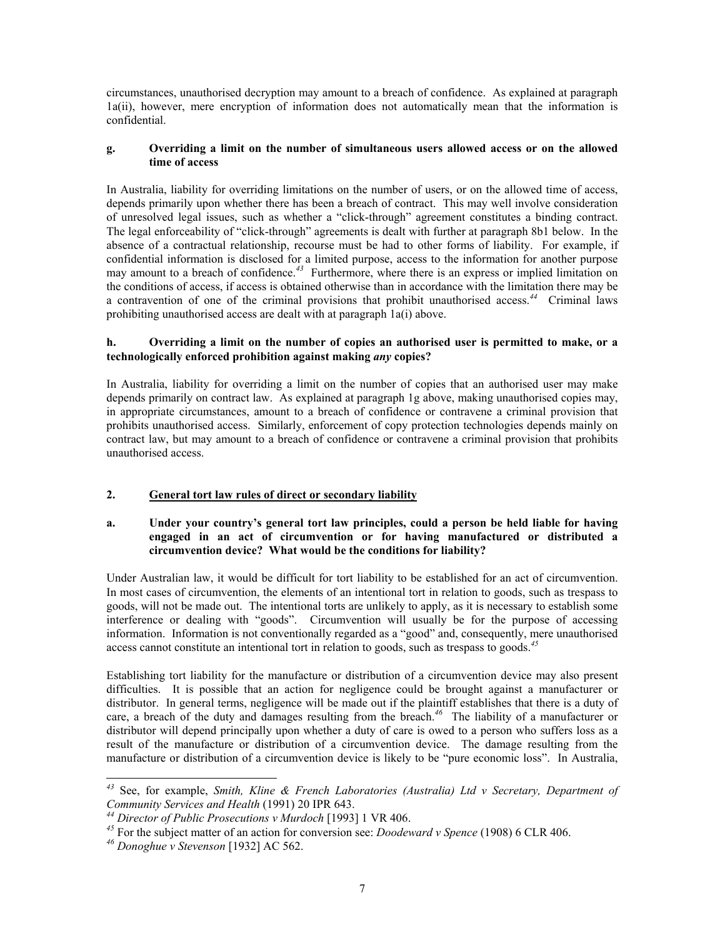circumstances, unauthorised decryption may amount to a breach of confidence. As explained at paragraph 1a(ii), however, mere encryption of information does not automatically mean that the information is confidential.

#### **g. Overriding a limit on the number of simultaneous users allowed access or on the allowed time of access**

In Australia, liability for overriding limitations on the number of users, or on the allowed time of access, depends primarily upon whether there has been a breach of contract. This may well involve consideration of unresolved legal issues, such as whether a "click-through" agreement constitutes a binding contract. The legal enforceability of "click-through" agreements is dealt with further at paragraph 8b1 below. In the absence of a contractual relationship, recourse must be had to other forms of liability. For example, if confidential information is disclosed for a limited purpose, access to the information for another purpose may amount to a breach of confidence.*[43](#page-6-0)* Furthermore, where there is an express or implied limitation on the conditions of access, if access is obtained otherwise than in accordance with the limitation there may be a contravention of one of the criminal provisions that prohibit unauthorised access.*[44](#page-6-1)* Criminal laws prohibiting unauthorised access are dealt with at paragraph 1a(i) above.

## **h. Overriding a limit on the number of copies an authorised user is permitted to make, or a technologically enforced prohibition against making** *any* **copies?**

In Australia, liability for overriding a limit on the number of copies that an authorised user may make depends primarily on contract law. As explained at paragraph 1g above, making unauthorised copies may, in appropriate circumstances, amount to a breach of confidence or contravene a criminal provision that prohibits unauthorised access. Similarly, enforcement of copy protection technologies depends mainly on contract law, but may amount to a breach of confidence or contravene a criminal provision that prohibits unauthorised access.

# **2. General tort law rules of direct or secondary liability**

## **a. Under your country's general tort law principles, could a person be held liable for having engaged in an act of circumvention or for having manufactured or distributed a circumvention device? What would be the conditions for liability?**

Under Australian law, it would be difficult for tort liability to be established for an act of circumvention. In most cases of circumvention, the elements of an intentional tort in relation to goods, such as trespass to goods, will not be made out. The intentional torts are unlikely to apply, as it is necessary to establish some interference or dealing with "goods". Circumvention will usually be for the purpose of accessing information. Information is not conventionally regarded as a "good" and, consequently, mere unauthorised access cannot constitute an intentional tort in relation to goods, such as trespass to goods.*[45](#page-6-2)*

Establishing tort liability for the manufacture or distribution of a circumvention device may also present difficulties. It is possible that an action for negligence could be brought against a manufacturer or distributor. In general terms, negligence will be made out if the plaintiff establishes that there is a duty of care, a breach of the duty and damages resulting from the breach.*[46](#page-6-3)* The liability of a manufacturer or distributor will depend principally upon whether a duty of care is owed to a person who suffers loss as a result of the manufacture or distribution of a circumvention device. The damage resulting from the manufacture or distribution of a circumvention device is likely to be "pure economic loss". In Australia,

<span id="page-6-0"></span>*<sup>43</sup>* See, for example, *Smith, Kline & French Laboratories (Australia) Ltd v Secretary, Department of Community Services and Health* (1991) 20 IPR 643.

<span id="page-6-1"></span>*<sup>44</sup> Director of Public Prosecutions v Murdoch* [1993] 1 VR 406.

<span id="page-6-2"></span>*<sup>45</sup>* For the subject matter of an action for conversion see: *Doodeward v Spence* (1908) 6 CLR 406.

<span id="page-6-3"></span>*<sup>46</sup> Donoghue v Stevenson* [1932] AC 562.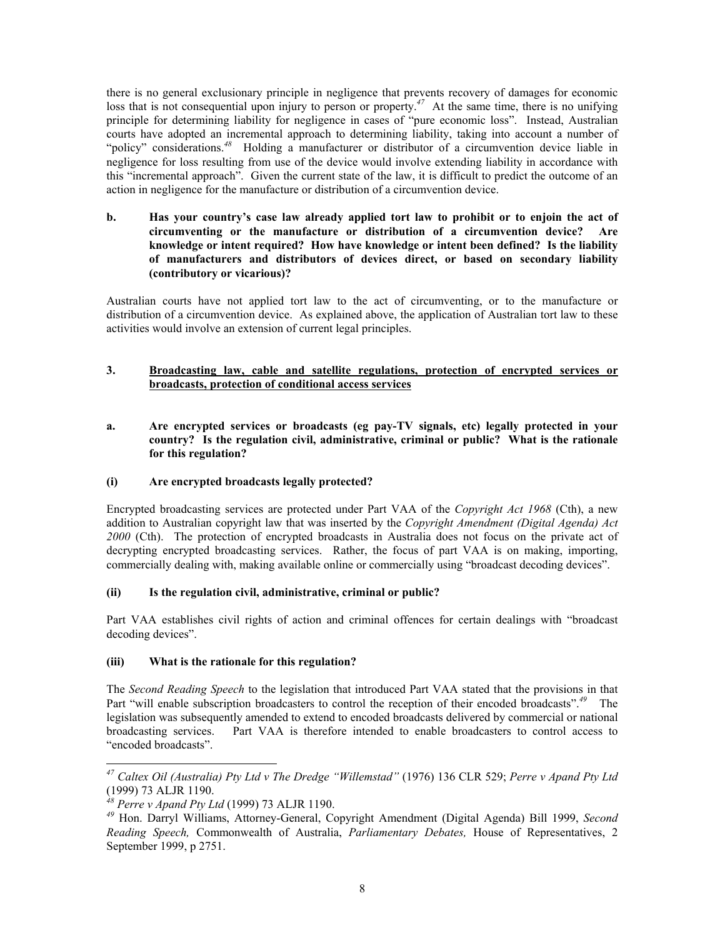there is no general exclusionary principle in negligence that prevents recovery of damages for economic loss that is not consequential upon injury to person or property.<sup>[47](#page-7-0)</sup> At the same time, there is no unifying principle for determining liability for negligence in cases of "pure economic loss". Instead, Australian courts have adopted an incremental approach to determining liability, taking into account a number of "policy" considerations.*[48](#page-7-1)* Holding a manufacturer or distributor of a circumvention device liable in negligence for loss resulting from use of the device would involve extending liability in accordance with this "incremental approach". Given the current state of the law, it is difficult to predict the outcome of an action in negligence for the manufacture or distribution of a circumvention device.

**b. Has your country's case law already applied tort law to prohibit or to enjoin the act of circumventing or the manufacture or distribution of a circumvention device? Are knowledge or intent required? How have knowledge or intent been defined? Is the liability of manufacturers and distributors of devices direct, or based on secondary liability (contributory or vicarious)?** 

Australian courts have not applied tort law to the act of circumventing, or to the manufacture or distribution of a circumvention device. As explained above, the application of Australian tort law to these activities would involve an extension of current legal principles.

# **3. Broadcasting law, cable and satellite regulations, protection of encrypted services or broadcasts, protection of conditional access services**

**a. Are encrypted services or broadcasts (eg pay-TV signals, etc) legally protected in your country? Is the regulation civil, administrative, criminal or public? What is the rationale for this regulation?** 

## **(i) Are encrypted broadcasts legally protected?**

Encrypted broadcasting services are protected under Part VAA of the *Copyright Act 1968* (Cth), a new addition to Australian copyright law that was inserted by the *Copyright Amendment (Digital Agenda) Act* 2000 (Cth). The protection of encrypted broadcasts in Australia does not focus on the private act of decrypting encrypted broadcasting services. Rather, the focus of part VAA is on making, importing, commercially dealing with, making available online or commercially using "broadcast decoding devices".

## **(ii) Is the regulation civil, administrative, criminal or public?**

Part VAA establishes civil rights of action and criminal offences for certain dealings with "broadcast decoding devices".

## **(iii) What is the rationale for this regulation?**

The *Second Reading Speech* to the legislation that introduced Part VAA stated that the provisions in that Part "will enable subscription broadcasters to control the reception of their encoded broadcasts".*[49](#page-7-2)* The legislation was subsequently amended to extend to encoded broadcasts delivered by commercial or national broadcasting services. Part VAA is therefore intended to enable broadcasters to control access to "encoded broadcasts".

1

<span id="page-7-0"></span>*<sup>47</sup> Caltex Oil (Australia) Pty Ltd v The Dredge "Willemstad"* (1976) 136 CLR 529; *Perre v Apand Pty Ltd*  (1999) 73 ALJR 1190.

<span id="page-7-1"></span>*<sup>48</sup> Perre v Apand Pty Ltd* (1999) 73 ALJR 1190.

<span id="page-7-2"></span>*<sup>49</sup>* Hon. Darryl Williams, Attorney-General, Copyright Amendment (Digital Agenda) Bill 1999, *Second Reading Speech,* Commonwealth of Australia, *Parliamentary Debates,* House of Representatives, 2 September 1999, p 2751.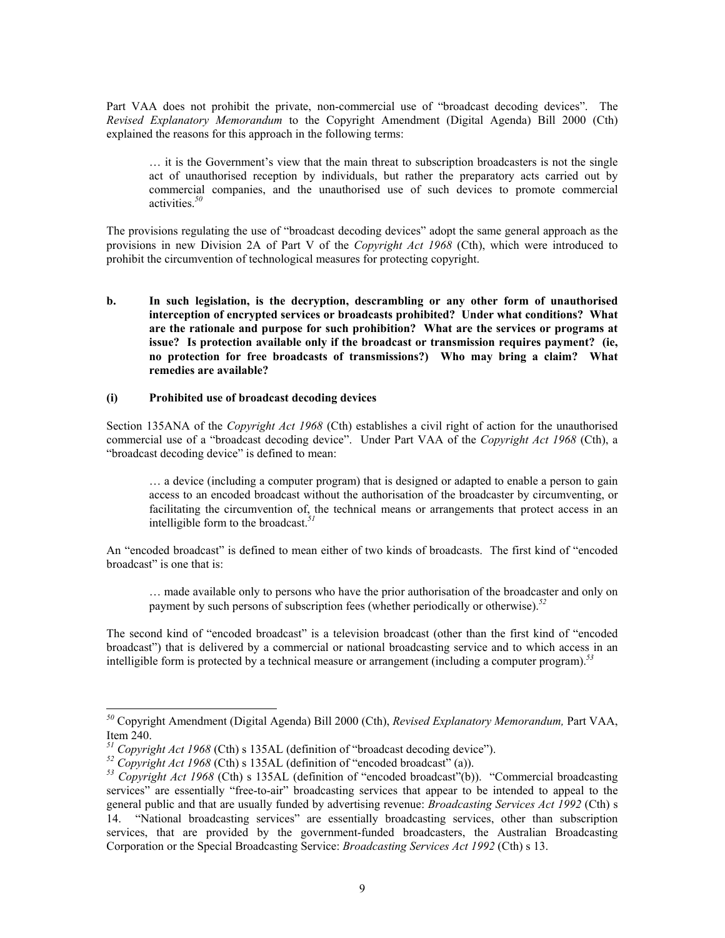Part VAA does not prohibit the private, non-commercial use of "broadcast decoding devices". The *Revised Explanatory Memorandum* to the Copyright Amendment (Digital Agenda) Bill 2000 (Cth) explained the reasons for this approach in the following terms:

… it is the Government's view that the main threat to subscription broadcasters is not the single act of unauthorised reception by individuals, but rather the preparatory acts carried out by commercial companies, and the unauthorised use of such devices to promote commercial activities.*[50](#page-8-0)*

The provisions regulating the use of "broadcast decoding devices" adopt the same general approach as the provisions in new Division 2A of Part V of the *Copyright Act 1968* (Cth), which were introduced to prohibit the circumvention of technological measures for protecting copyright.

**b. In such legislation, is the decryption, descrambling or any other form of unauthorised interception of encrypted services or broadcasts prohibited? Under what conditions? What are the rationale and purpose for such prohibition? What are the services or programs at issue? Is protection available only if the broadcast or transmission requires payment? (ie, no protection for free broadcasts of transmissions?) Who may bring a claim? What remedies are available?** 

#### **(i) Prohibited use of broadcast decoding devices**

Section 135ANA of the *Copyright Act 1968* (Cth) establishes a civil right of action for the unauthorised commercial use of a "broadcast decoding device". Under Part VAA of the *Copyright Act 1968* (Cth), a "broadcast decoding device" is defined to mean:

… a device (including a computer program) that is designed or adapted to enable a person to gain access to an encoded broadcast without the authorisation of the broadcaster by circumventing, or facilitating the circumvention of, the technical means or arrangements that protect access in an intelligible form to the broadcast.*[51](#page-8-1)*

An "encoded broadcast" is defined to mean either of two kinds of broadcasts. The first kind of "encoded broadcast" is one that is:

… made available only to persons who have the prior authorisation of the broadcaster and only on payment by such persons of subscription fees (whether periodically or otherwise).*[52](#page-8-2)*

The second kind of "encoded broadcast" is a television broadcast (other than the first kind of "encoded broadcast") that is delivered by a commercial or national broadcasting service and to which access in an intelligible form is protected by a technical measure or arrangement (including a computer program).*[53](#page-8-3)*

 $\overline{a}$ 

<span id="page-8-0"></span>*<sup>50</sup>* Copyright Amendment (Digital Agenda) Bill 2000 (Cth), *Revised Explanatory Memorandum,* Part VAA, Item 240.

<span id="page-8-1"></span>*<sup>51</sup> Copyright Act 1968* (Cth) s 135AL (definition of "broadcast decoding device").

<span id="page-8-2"></span>*<sup>52</sup> Copyright Act 1968* (Cth) s 135AL (definition of "encoded broadcast" (a)).

<span id="page-8-3"></span>*<sup>53</sup> Copyright Act 1968* (Cth) s 135AL (definition of "encoded broadcast"(b)). "Commercial broadcasting services" are essentially "free-to-air" broadcasting services that appear to be intended to appeal to the general public and that are usually funded by advertising revenue: *Broadcasting Services Act 1992* (Cth) s 14. "National broadcasting services" are essentially broadcasting services, other than subscription services, that are provided by the government-funded broadcasters, the Australian Broadcasting Corporation or the Special Broadcasting Service: *Broadcasting Services Act 1992* (Cth) s 13.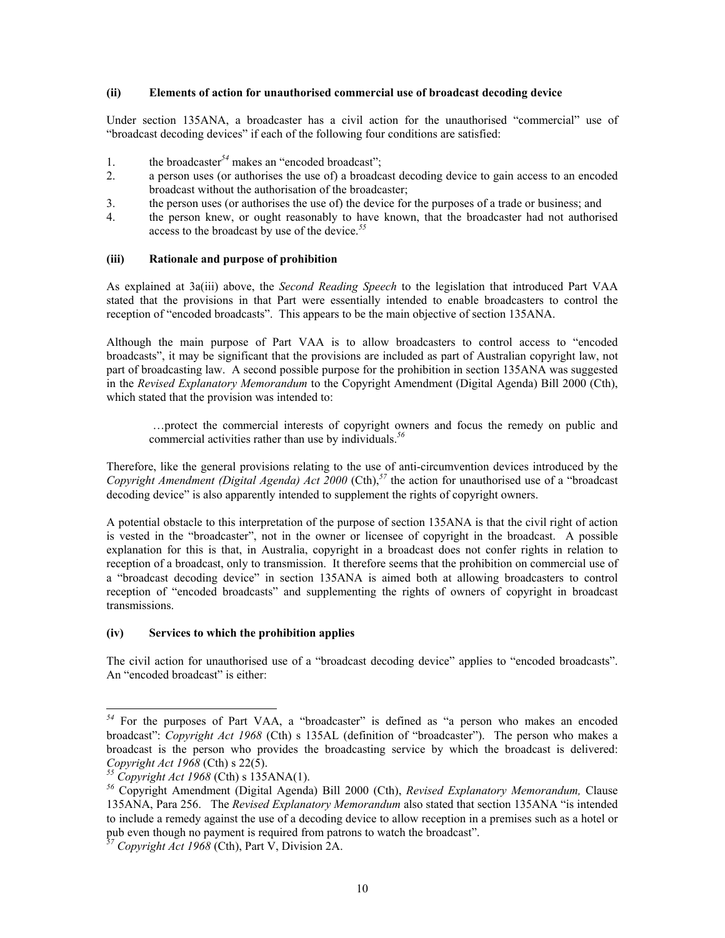#### **(ii) Elements of action for unauthorised commercial use of broadcast decoding device**

Under section 135ANA, a broadcaster has a civil action for the unauthorised "commercial" use of "broadcast decoding devices" if each of the following four conditions are satisfied:

- 1. the broadcaster<sup>[54](#page-9-0)</sup> makes an "encoded broadcast";
- 2. a person uses (or authorises the use of) a broadcast decoding device to gain access to an encoded broadcast without the authorisation of the broadcaster;
- 3. the person uses (or authorises the use of) the device for the purposes of a trade or business; and
- 4. the person knew, or ought reasonably to have known, that the broadcaster had not authorised access to the broadcast by use of the device.*[55](#page-9-1)*

#### **(iii) Rationale and purpose of prohibition**

As explained at 3a(iii) above, the *Second Reading Speech* to the legislation that introduced Part VAA stated that the provisions in that Part were essentially intended to enable broadcasters to control the reception of "encoded broadcasts". This appears to be the main objective of section 135ANA.

Although the main purpose of Part VAA is to allow broadcasters to control access to "encoded broadcasts", it may be significant that the provisions are included as part of Australian copyright law, not part of broadcasting law. A second possible purpose for the prohibition in section 135ANA was suggested in the *Revised Explanatory Memorandum* to the Copyright Amendment (Digital Agenda) Bill 2000 (Cth), which stated that the provision was intended to:

…protect the commercial interests of copyright owners and focus the remedy on public and commercial activities rather than use by individuals.*[56](#page-9-2)*

Therefore, like the general provisions relating to the use of anti-circumvention devices introduced by the *Copyright Amendment (Digital Agenda) Act 2000* (Cth),*[57](#page-9-3)* the action for unauthorised use of a "broadcast decoding device" is also apparently intended to supplement the rights of copyright owners.

A potential obstacle to this interpretation of the purpose of section 135ANA is that the civil right of action is vested in the "broadcaster", not in the owner or licensee of copyright in the broadcast. A possible explanation for this is that, in Australia, copyright in a broadcast does not confer rights in relation to reception of a broadcast, only to transmission. It therefore seems that the prohibition on commercial use of a "broadcast decoding device" in section 135ANA is aimed both at allowing broadcasters to control reception of "encoded broadcasts" and supplementing the rights of owners of copyright in broadcast transmissions.

#### **(iv) Services to which the prohibition applies**

The civil action for unauthorised use of a "broadcast decoding device" applies to "encoded broadcasts". An "encoded broadcast" is either:

<span id="page-9-0"></span><sup>&</sup>lt;sup>54</sup> For the purposes of Part VAA, a "broadcaster" is defined as "a person who makes an encoded broadcast": *Copyright Act 1968* (Cth) s 135AL (definition of "broadcaster"). The person who makes a broadcast is the person who provides the broadcasting service by which the broadcast is delivered: *Copyright Act 1968* (Cth) s 22(5).

<span id="page-9-1"></span>*<sup>55</sup> Copyright Act 1968* (Cth) s 135ANA(1).

<span id="page-9-2"></span>*<sup>56</sup>* Copyright Amendment (Digital Agenda) Bill 2000 (Cth), *Revised Explanatory Memorandum,* Clause 135ANA, Para 256. The *Revised Explanatory Memorandum* also stated that section 135ANA "is intended to include a remedy against the use of a decoding device to allow reception in a premises such as a hotel or pub even though no payment is required from patrons to watch the broadcast".

<span id="page-9-3"></span>*<sup>57</sup> Copyright Act 1968* (Cth), Part V, Division 2A.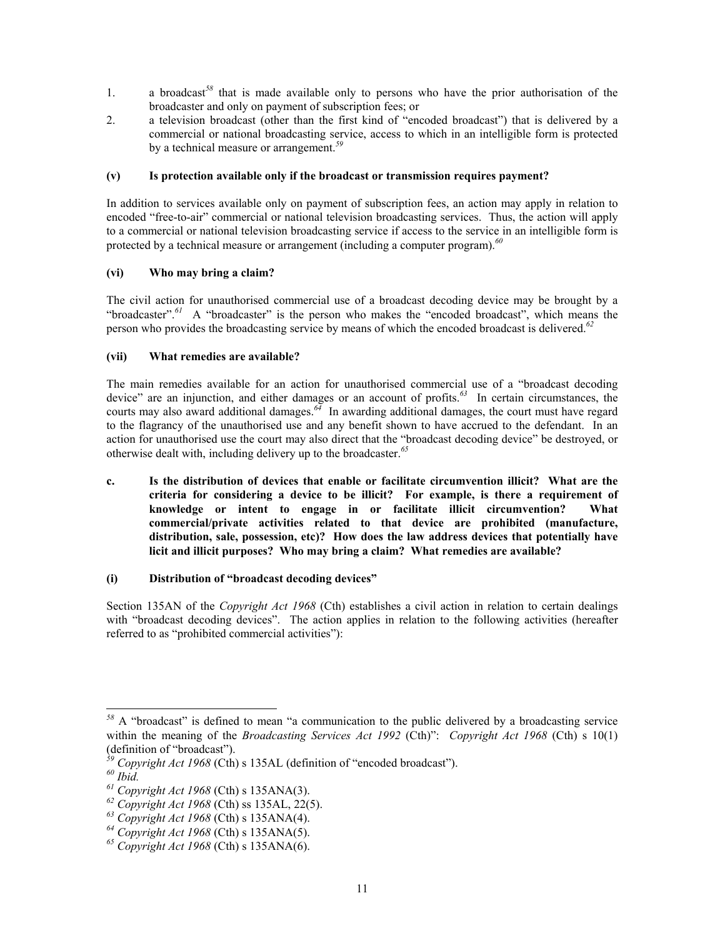- 1. a broadcast*[58](#page-10-0)* that is made available only to persons who have the prior authorisation of the broadcaster and only on payment of subscription fees; or
- 2. a television broadcast (other than the first kind of "encoded broadcast") that is delivered by a commercial or national broadcasting service, access to which in an intelligible form is protected by a technical measure or arrangement. *[59](#page-10-1)*

# **(v) Is protection available only if the broadcast or transmission requires payment?**

In addition to services available only on payment of subscription fees, an action may apply in relation to encoded "free-to-air" commercial or national television broadcasting services. Thus, the action will apply to a commercial or national television broadcasting service if access to the service in an intelligible form is protected by a technical measure or arrangement (including a computer program).*[60](#page-10-2)*

# **(vi) Who may bring a claim?**

The civil action for unauthorised commercial use of a broadcast decoding device may be brought by a "broadcaster".<sup>[61](#page-10-3)</sup> A "broadcaster" is the person who makes the "encoded broadcast", which means the person who provides the broadcasting service by means of which the encoded broadcast is delivered.*[62](#page-10-4)*

# **(vii) What remedies are available?**

The main remedies available for an action for unauthorised commercial use of a "broadcast decoding device" are an injunction, and either damages or an account of profits.*[63](#page-10-5)* In certain circumstances, the courts may also award additional damages.*[64](#page-10-6)* In awarding additional damages, the court must have regard to the flagrancy of the unauthorised use and any benefit shown to have accrued to the defendant. In an action for unauthorised use the court may also direct that the "broadcast decoding device" be destroyed, or otherwise dealt with, including delivery up to the broadcaster.*[65](#page-10-7)*

**c. Is the distribution of devices that enable or facilitate circumvention illicit? What are the criteria for considering a device to be illicit? For example, is there a requirement of knowledge or intent to engage in or facilitate illicit circumvention? What commercial/private activities related to that device are prohibited (manufacture, distribution, sale, possession, etc)? How does the law address devices that potentially have licit and illicit purposes? Who may bring a claim? What remedies are available?** 

# **(i) Distribution of "broadcast decoding devices"**

Section 135AN of the *Copyright Act 1968* (Cth) establishes a civil action in relation to certain dealings with "broadcast decoding devices". The action applies in relation to the following activities (hereafter referred to as "prohibited commercial activities"):

 $\overline{a}$ 

<span id="page-10-0"></span><sup>&</sup>lt;sup>58</sup> A "broadcast" is defined to mean "a communication to the public delivered by a broadcasting service within the meaning of the *Broadcasting Services Act 1992* (Cth)": *Copyright Act 1968* (Cth) s 10(1) (definition of "broadcast").

<span id="page-10-1"></span>*<sup>59</sup> Copyright Act 1968* (Cth) s 135AL (definition of "encoded broadcast").

<span id="page-10-2"></span>*<sup>60</sup> Ibid.*

<span id="page-10-3"></span>*<sup>61</sup> Copyright Act 1968* (Cth) s 135ANA(3).

<span id="page-10-4"></span>*<sup>62</sup> Copyright Act 1968* (Cth) ss 135AL, 22(5).

<span id="page-10-5"></span>*<sup>63</sup> Copyright Act 1968* (Cth) s 135ANA(4).

<span id="page-10-6"></span>*<sup>64</sup> Copyright Act 1968* (Cth) s 135ANA(5).

<span id="page-10-7"></span>*<sup>65</sup> Copyright Act 1968* (Cth) s 135ANA(6).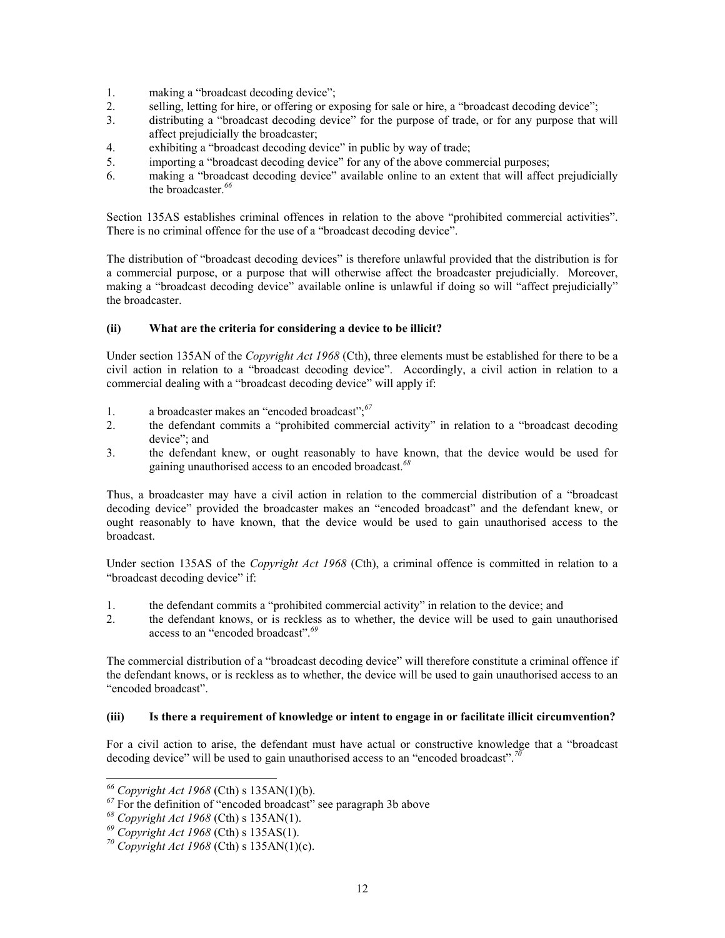- 1. making a "broadcast decoding device";
- 2. selling, letting for hire, or offering or exposing for sale or hire, a "broadcast decoding device";
- 3. distributing a "broadcast decoding device" for the purpose of trade, or for any purpose that will affect prejudicially the broadcaster;
- 4. exhibiting a "broadcast decoding device" in public by way of trade;
- 5. importing a "broadcast decoding device" for any of the above commercial purposes;
- 6. making a "broadcast decoding device" available online to an extent that will affect prejudicially the broadcaster.*[66](#page-11-0)*

Section 135AS establishes criminal offences in relation to the above "prohibited commercial activities". There is no criminal offence for the use of a "broadcast decoding device".

The distribution of "broadcast decoding devices" is therefore unlawful provided that the distribution is for a commercial purpose, or a purpose that will otherwise affect the broadcaster prejudicially. Moreover, making a "broadcast decoding device" available online is unlawful if doing so will "affect prejudicially" the broadcaster.

# **(ii) What are the criteria for considering a device to be illicit?**

Under section 135AN of the *Copyright Act 1968* (Cth), three elements must be established for there to be a civil action in relation to a "broadcast decoding device". Accordingly, a civil action in relation to a commercial dealing with a "broadcast decoding device" will apply if:

- 1. a broadcaster makes an "encoded broadcast"; *[67](#page-11-1)*
- 2. the defendant commits a "prohibited commercial activity" in relation to a "broadcast decoding device"; and
- 3. the defendant knew, or ought reasonably to have known, that the device would be used for gaining unauthorised access to an encoded broadcast.*[68](#page-11-2)*

Thus, a broadcaster may have a civil action in relation to the commercial distribution of a "broadcast decoding device" provided the broadcaster makes an "encoded broadcast" and the defendant knew, or ought reasonably to have known, that the device would be used to gain unauthorised access to the broadcast.

Under section 135AS of the *Copyright Act 1968* (Cth), a criminal offence is committed in relation to a "broadcast decoding device" if:

- 1. the defendant commits a "prohibited commercial activity" in relation to the device; and
- 2. the defendant knows, or is reckless as to whether, the device will be used to gain unauthorised access to an "encoded broadcast".*[69](#page-11-3)*

The commercial distribution of a "broadcast decoding device" will therefore constitute a criminal offence if the defendant knows, or is reckless as to whether, the device will be used to gain unauthorised access to an "encoded broadcast".

## **(iii) Is there a requirement of knowledge or intent to engage in or facilitate illicit circumvention?**

For a civil action to arise, the defendant must have actual or constructive knowledge that a "broadcast decoding device" will be used to gain unauthorised access to an "encoded broadcast".*[70](#page-11-4)*

<span id="page-11-0"></span>*<sup>66</sup> Copyright Act 1968* (Cth) s 135AN(1)(b).

<span id="page-11-1"></span><sup>&</sup>lt;sup>67</sup> For the definition of "encoded broadcast" see paragraph 3b above

<span id="page-11-2"></span>*<sup>68</sup> Copyright Act 1968* (Cth) s 135AN(1).

<span id="page-11-3"></span>*<sup>69</sup> Copyright Act 1968* (Cth) s 135AS(1).

<span id="page-11-4"></span>*<sup>70</sup> Copyright Act 1968* (Cth) s 135AN(1)(c).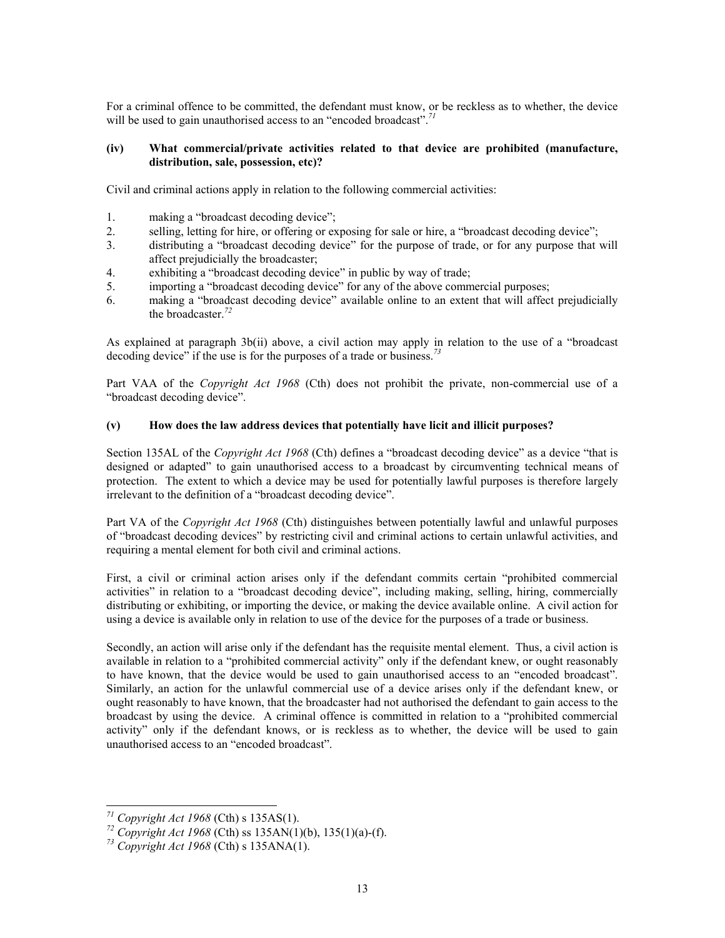For a criminal offence to be committed, the defendant must know, or be reckless as to whether, the device will be used to gain unauthorised access to an "encoded broadcast".*[71](#page-12-0)*

#### **(iv) What commercial/private activities related to that device are prohibited (manufacture, distribution, sale, possession, etc)?**

Civil and criminal actions apply in relation to the following commercial activities:

- 1. making a "broadcast decoding device";
- 2. selling, letting for hire, or offering or exposing for sale or hire, a "broadcast decoding device";
- 3. distributing a "broadcast decoding device" for the purpose of trade, or for any purpose that will affect prejudicially the broadcaster;
- 4. exhibiting a "broadcast decoding device" in public by way of trade;
- 5. importing a "broadcast decoding device" for any of the above commercial purposes;
- 6. making a "broadcast decoding device" available online to an extent that will affect prejudicially the broadcaster.*[72](#page-12-1)*

As explained at paragraph 3b(ii) above, a civil action may apply in relation to the use of a "broadcast decoding device" if the use is for the purposes of a trade or business.*[73](#page-12-2)*

Part VAA of the *Copyright Act 1968* (Cth) does not prohibit the private, non-commercial use of a "broadcast decoding device".

#### **(v) How does the law address devices that potentially have licit and illicit purposes?**

Section 135AL of the *Copyright Act 1968* (Cth) defines a "broadcast decoding device" as a device "that is designed or adapted" to gain unauthorised access to a broadcast by circumventing technical means of protection. The extent to which a device may be used for potentially lawful purposes is therefore largely irrelevant to the definition of a "broadcast decoding device".

Part VA of the *Copyright Act 1968* (Cth) distinguishes between potentially lawful and unlawful purposes of "broadcast decoding devices" by restricting civil and criminal actions to certain unlawful activities, and requiring a mental element for both civil and criminal actions.

First, a civil or criminal action arises only if the defendant commits certain "prohibited commercial activities" in relation to a "broadcast decoding device", including making, selling, hiring, commercially distributing or exhibiting, or importing the device, or making the device available online.A civil action for using a device is available only in relation to use of the device for the purposes of a trade or business.

Secondly, an action will arise only if the defendant has the requisite mental element. Thus, a civil action is available in relation to a "prohibited commercial activity" only if the defendant knew, or ought reasonably to have known, that the device would be used to gain unauthorised access to an "encoded broadcast". Similarly, an action for the unlawful commercial use of a device arises only if the defendant knew, or ought reasonably to have known, that the broadcaster had not authorised the defendant to gain access to the broadcast by using the device. A criminal offence is committed in relation to a "prohibited commercial activity" only if the defendant knows, or is reckless as to whether, the device will be used to gain unauthorised access to an "encoded broadcast".

<span id="page-12-0"></span>*<sup>71</sup> Copyright Act 1968* (Cth) s 135AS(1).

<span id="page-12-1"></span>*<sup>72</sup> Copyright Act 1968* (Cth) ss 135AN(1)(b), 135(1)(a)-(f).

<span id="page-12-2"></span>*<sup>73</sup> Copyright Act 1968* (Cth) s 135ANA(1).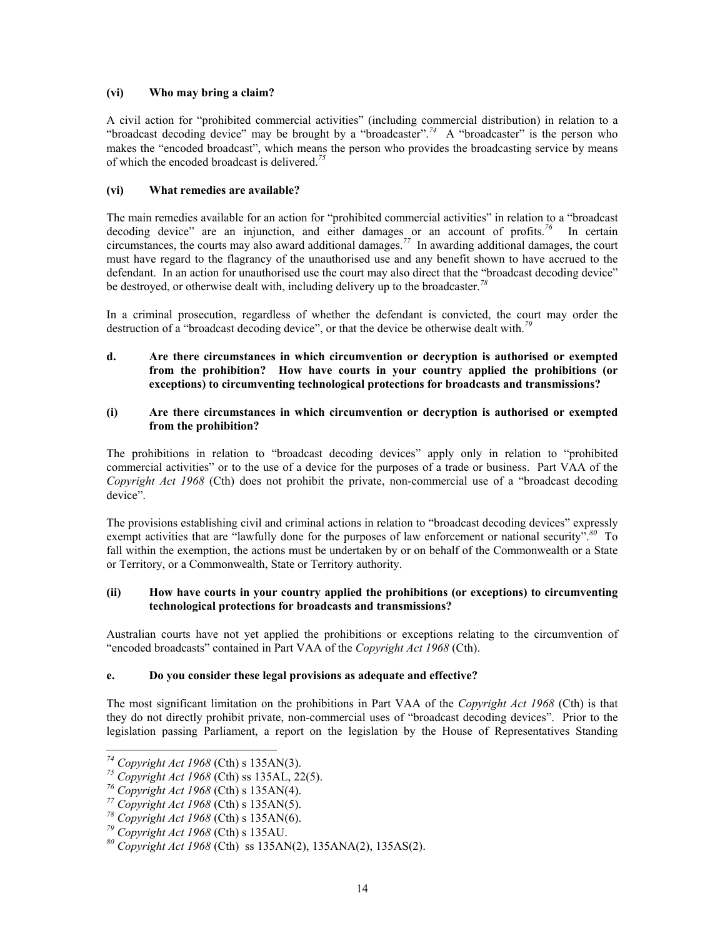## **(vi) Who may bring a claim?**

A civil action for "prohibited commercial activities" (including commercial distribution) in relation to a "broadcast decoding device" may be brought by a "broadcaster".*[74](#page-13-0)* A "broadcaster" is the person who makes the "encoded broadcast", which means the person who provides the broadcasting service by means of which the encoded broadcast is delivered.*[75](#page-13-1)*

## **(vi) What remedies are available?**

The main remedies available for an action for "prohibited commercial activities" in relation to a "broadcast decoding device" are an injunction, and either damages or an account of profits.*[76](#page-13-2)* In certain circumstances, the courts may also award additional damages.<sup>[77](#page-13-3)</sup> In awarding additional damages, the court must have regard to the flagrancy of the unauthorised use and any benefit shown to have accrued to the defendant. In an action for unauthorised use the court may also direct that the "broadcast decoding device" be destroyed, or otherwise dealt with, including delivery up to the broadcaster.*[78](#page-13-4)*

In a criminal prosecution, regardless of whether the defendant is convicted, the court may order the destruction of a "broadcast decoding device", or that the device be otherwise dealt with.*[79](#page-13-5)*

**d. Are there circumstances in which circumvention or decryption is authorised or exempted from the prohibition? How have courts in your country applied the prohibitions (or exceptions) to circumventing technological protections for broadcasts and transmissions?** 

#### **(i) Are there circumstances in which circumvention or decryption is authorised or exempted from the prohibition?**

The prohibitions in relation to "broadcast decoding devices" apply only in relation to "prohibited commercial activities" or to the use of a device for the purposes of a trade or business. Part VAA of the *Copyright Act 1968* (Cth) does not prohibit the private, non-commercial use of a "broadcast decoding device".

The provisions establishing civil and criminal actions in relation to "broadcast decoding devices" expressly exempt activities that are "lawfully done for the purposes of law enforcement or national security".*[80](#page-13-6)* To fall within the exemption, the actions must be undertaken by or on behalf of the Commonwealth or a State or Territory, or a Commonwealth, State or Territory authority.

# **(ii) How have courts in your country applied the prohibitions (or exceptions) to circumventing technological protections for broadcasts and transmissions?**

Australian courts have not yet applied the prohibitions or exceptions relating to the circumvention of "encoded broadcasts" contained in Part VAA of the *Copyright Act 1968* (Cth).

## **e. Do you consider these legal provisions as adequate and effective?**

The most significant limitation on the prohibitions in Part VAA of the *Copyright Act 1968* (Cth) is that they do not directly prohibit private, non-commercial uses of "broadcast decoding devices". Prior to the legislation passing Parliament, a report on the legislation by the House of Representatives Standing

1

<span id="page-13-0"></span>*<sup>74</sup> Copyright Act 1968* (Cth) s 135AN(3).

<span id="page-13-1"></span>*<sup>75</sup> Copyright Act 1968* (Cth) ss 135AL, 22(5).

<span id="page-13-2"></span>*<sup>76</sup> Copyright Act 1968* (Cth) s 135AN(4).

<span id="page-13-3"></span>*<sup>77</sup> Copyright Act 1968* (Cth) s 135AN(5).

<span id="page-13-4"></span>*<sup>78</sup> Copyright Act 1968* (Cth) s 135AN(6).

<span id="page-13-5"></span>*<sup>79</sup> Copyright Act 1968* (Cth) s 135AU.

<span id="page-13-6"></span>*<sup>80</sup> Copyright Act 1968* (Cth) ss 135AN(2), 135ANA(2), 135AS(2).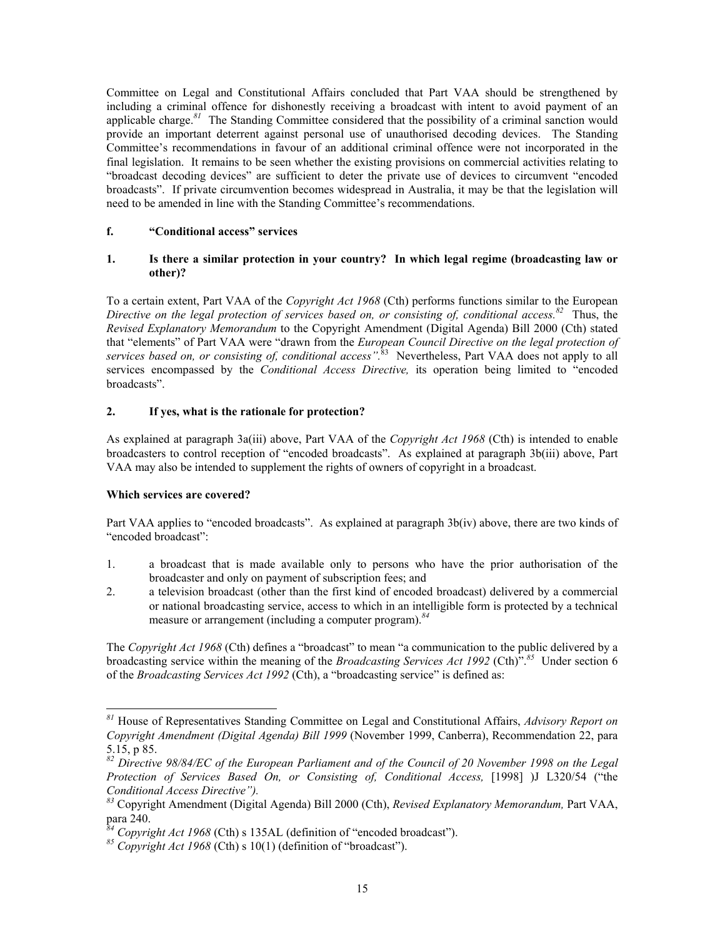Committee on Legal and Constitutional Affairs concluded that Part VAA should be strengthened by including a criminal offence for dishonestly receiving a broadcast with intent to avoid payment of an applicable charge.<sup>[81](#page-14-0)</sup> The Standing Committee considered that the possibility of a criminal sanction would provide an important deterrent against personal use of unauthorised decoding devices. The Standing Committee's recommendations in favour of an additional criminal offence were not incorporated in the final legislation. It remains to be seen whether the existing provisions on commercial activities relating to "broadcast decoding devices" are sufficient to deter the private use of devices to circumvent "encoded broadcasts". If private circumvention becomes widespread in Australia, it may be that the legislation will need to be amended in line with the Standing Committee's recommendations.

## **f. "Conditional access" services**

## **1. Is there a similar protection in your country? In which legal regime (broadcasting law or other)?**

To a certain extent, Part VAA of the *Copyright Act 1968* (Cth) performs functions similar to the European *Directive on the legal protection of services based on, or consisting of, conditional access.[82](#page-14-1)* Thus, the *Revised Explanatory Memorandum* to the Copyright Amendment (Digital Agenda) Bill 2000 (Cth) stated that "elements" of Part VAA were "drawn from the *European Council Directive on the legal protection of services based on, or consisting of, conditional access".*[83](#page-14-2)Nevertheless, Part VAA does not apply to all services encompassed by the *Conditional Access Directive,* its operation being limited to "encoded broadcasts".

# **2. If yes, what is the rationale for protection?**

As explained at paragraph 3a(iii) above, Part VAA of the *Copyright Act 1968* (Cth) is intended to enable broadcasters to control reception of "encoded broadcasts". As explained at paragraph 3b(iii) above, Part VAA may also be intended to supplement the rights of owners of copyright in a broadcast.

## **Which services are covered?**

-

Part VAA applies to "encoded broadcasts". As explained at paragraph 3b(iv) above, there are two kinds of "encoded broadcast":

- 1. a broadcast that is made available only to persons who have the prior authorisation of the broadcaster and only on payment of subscription fees; and
- 2. a television broadcast (other than the first kind of encoded broadcast) delivered by a commercial or national broadcasting service, access to which in an intelligible form is protected by a technical measure or arrangement (including a computer program).*[84](#page-14-3)*

The *Copyright Act 1968* (Cth) defines a "broadcast" to mean "a communication to the public delivered by a broadcasting service within the meaning of the *Broadcasting Services Act 1992* (Cth)".*[85](#page-14-4)* Under section 6 of the *Broadcasting Services Act 1992* (Cth), a "broadcasting service" is defined as:

<span id="page-14-0"></span>*<sup>81</sup>* House of Representatives Standing Committee on Legal and Constitutional Affairs, *Advisory Report on Copyright Amendment (Digital Agenda) Bill 1999* (November 1999, Canberra), Recommendation 22, para 5.15, p 85.

<span id="page-14-1"></span>*<sup>82</sup> Directive 98/84/EC of the European Parliament and of the Council of 20 November 1998 on the Legal Protection of Services Based On, or Consisting of, Conditional Access,* [1998] )J L320/54 ("the *Conditional Access Directive").*

<span id="page-14-2"></span>*<sup>83</sup>* Copyright Amendment (Digital Agenda) Bill 2000 (Cth), *Revised Explanatory Memorandum,* Part VAA, para 240.

<span id="page-14-3"></span>*<sup>84</sup> Copyright Act 1968* (Cth) s 135AL (definition of "encoded broadcast").

<span id="page-14-4"></span>*<sup>85</sup> Copyright Act 1968* (Cth) s 10(1) (definition of "broadcast").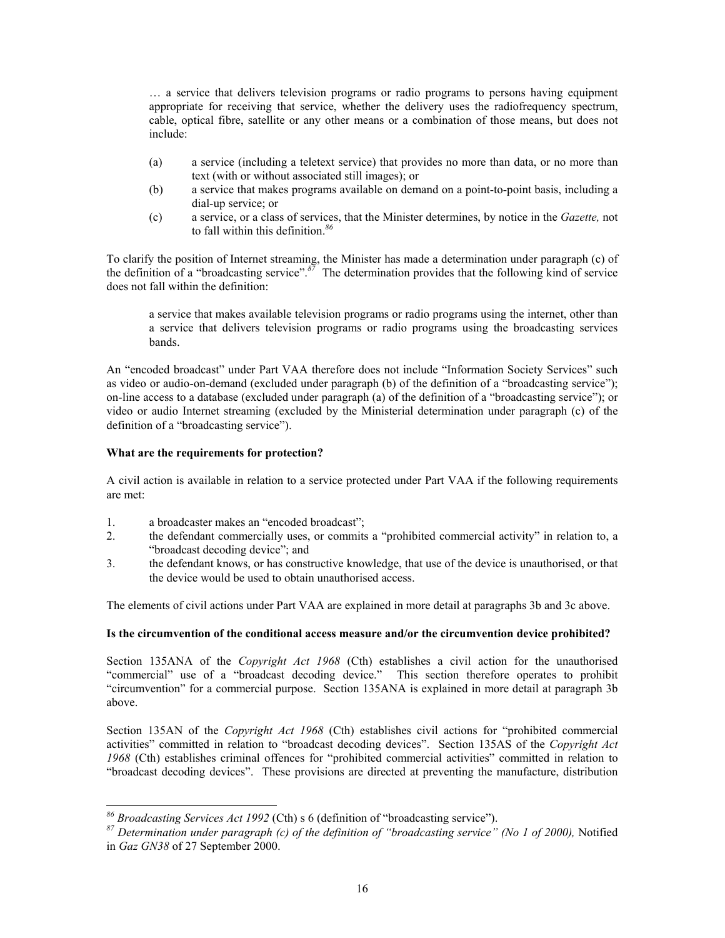… a service that delivers television programs or radio programs to persons having equipment appropriate for receiving that service, whether the delivery uses the radiofrequency spectrum, cable, optical fibre, satellite or any other means or a combination of those means, but does not include:

- (a) a service (including a teletext service) that provides no more than data, or no more than text (with or without associated still images); or
- (b) a service that makes programs available on demand on a point-to-point basis, including a dial-up service; or
- (c) a service, or a class of services, that the Minister determines, by notice in the *Gazette,* not to fall within this definition. *[86](#page-15-0)*

To clarify the position of Internet streaming, the Minister has made a determination under paragraph (c) of the definition of a "broadcasting service".*[87](#page-15-1)* The determination provides that the following kind of service does not fall within the definition:

a service that makes available television programs or radio programs using the internet, other than a service that delivers television programs or radio programs using the broadcasting services bands.

An "encoded broadcast" under Part VAA therefore does not include "Information Society Services" such as video or audio-on-demand (excluded under paragraph (b) of the definition of a "broadcasting service"); on-line access to a database (excluded under paragraph (a) of the definition of a "broadcasting service"); or video or audio Internet streaming (excluded by the Ministerial determination under paragraph (c) of the definition of a "broadcasting service").

## **What are the requirements for protection?**

-

A civil action is available in relation to a service protected under Part VAA if the following requirements are met:

- 1. a broadcaster makes an "encoded broadcast";
- 2. the defendant commercially uses, or commits a "prohibited commercial activity" in relation to, a "broadcast decoding device"; and
- 3. the defendant knows, or has constructive knowledge, that use of the device is unauthorised, or that the device would be used to obtain unauthorised access.

The elements of civil actions under Part VAA are explained in more detail at paragraphs 3b and 3c above.

## **Is the circumvention of the conditional access measure and/or the circumvention device prohibited?**

Section 135ANA of the *Copyright Act 1968* (Cth) establishes a civil action for the unauthorised "commercial" use of a "broadcast decoding device." This section therefore operates to prohibit "circumvention" for a commercial purpose. Section 135ANA is explained in more detail at paragraph 3b above.

Section 135AN of the *Copyright Act 1968* (Cth) establishes civil actions for "prohibited commercial activities" committed in relation to "broadcast decoding devices". Section 135AS of the *Copyright Act 1968* (Cth) establishes criminal offences for "prohibited commercial activities" committed in relation to "broadcast decoding devices". These provisions are directed at preventing the manufacture, distribution

<span id="page-15-0"></span>*<sup>86</sup> Broadcasting Services Act 1992* (Cth) s 6 (definition of "broadcasting service").

<span id="page-15-1"></span>*<sup>87</sup> Determination under paragraph (c) of the definition of "broadcasting service" (No 1 of 2000),* Notified in *Gaz GN38* of 27 September 2000.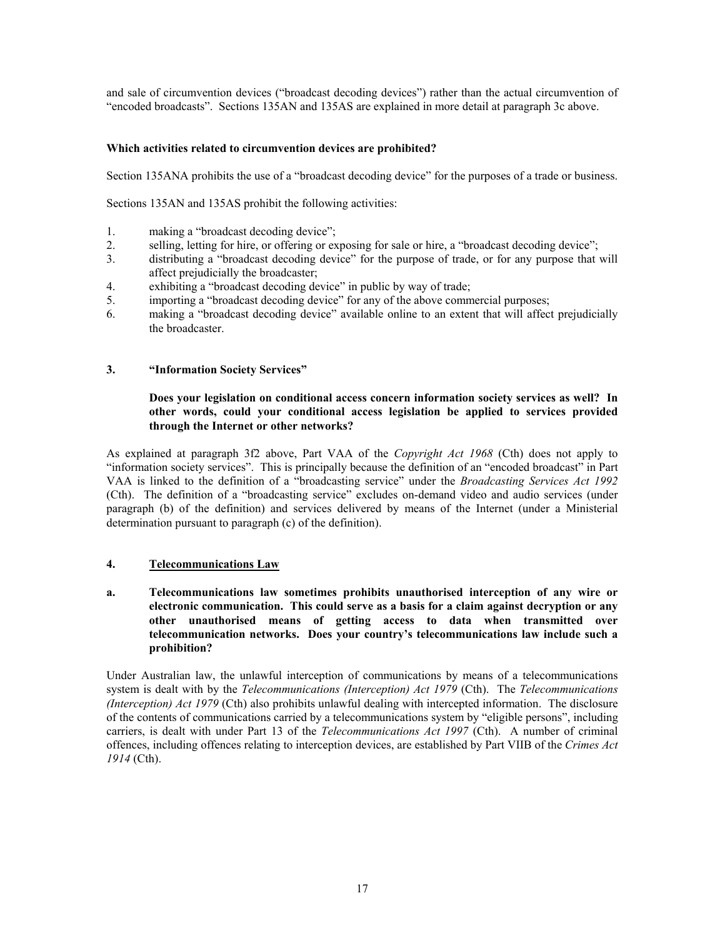and sale of circumvention devices ("broadcast decoding devices") rather than the actual circumvention of "encoded broadcasts". Sections 135AN and 135AS are explained in more detail at paragraph 3c above.

## **Which activities related to circumvention devices are prohibited?**

Section 135ANA prohibits the use of a "broadcast decoding device" for the purposes of a trade or business.

Sections 135AN and 135AS prohibit the following activities:

- 1. making a "broadcast decoding device";
- 2. selling, letting for hire, or offering or exposing for sale or hire, a "broadcast decoding device";
- 3. distributing a "broadcast decoding device" for the purpose of trade, or for any purpose that will affect prejudicially the broadcaster;
- 4. exhibiting a "broadcast decoding device" in public by way of trade;
- 5. importing a "broadcast decoding device" for any of the above commercial purposes;
- 6. making a "broadcast decoding device" available online to an extent that will affect prejudicially the broadcaster.

## **3. "Information Society Services"**

## **Does your legislation on conditional access concern information society services as well? In other words, could your conditional access legislation be applied to services provided through the Internet or other networks?**

As explained at paragraph 3f2 above, Part VAA of the *Copyright Act 1968* (Cth) does not apply to "information society services". This is principally because the definition of an "encoded broadcast" in Part VAA is linked to the definition of a "broadcasting service" under the *Broadcasting Services Act 1992*  (Cth). The definition of a "broadcasting service" excludes on-demand video and audio services (under paragraph (b) of the definition) and services delivered by means of the Internet (under a Ministerial determination pursuant to paragraph (c) of the definition).

## **4. Telecommunications Law**

**a. Telecommunications law sometimes prohibits unauthorised interception of any wire or electronic communication. This could serve as a basis for a claim against decryption or any other unauthorised means of getting access to data when transmitted over telecommunication networks. Does your country's telecommunications law include such a prohibition?**

Under Australian law, the unlawful interception of communications by means of a telecommunications system is dealt with by the *Telecommunications (Interception) Act 1979* (Cth). The *Telecommunications (Interception) Act 1979* (Cth) also prohibits unlawful dealing with intercepted information. The disclosure of the contents of communications carried by a telecommunications system by "eligible persons", including carriers, is dealt with under Part 13 of the *Telecommunications Act 1997* (Cth). A number of criminal offences, including offences relating to interception devices, are established by Part VIIB of the *Crimes Act 1914* (Cth).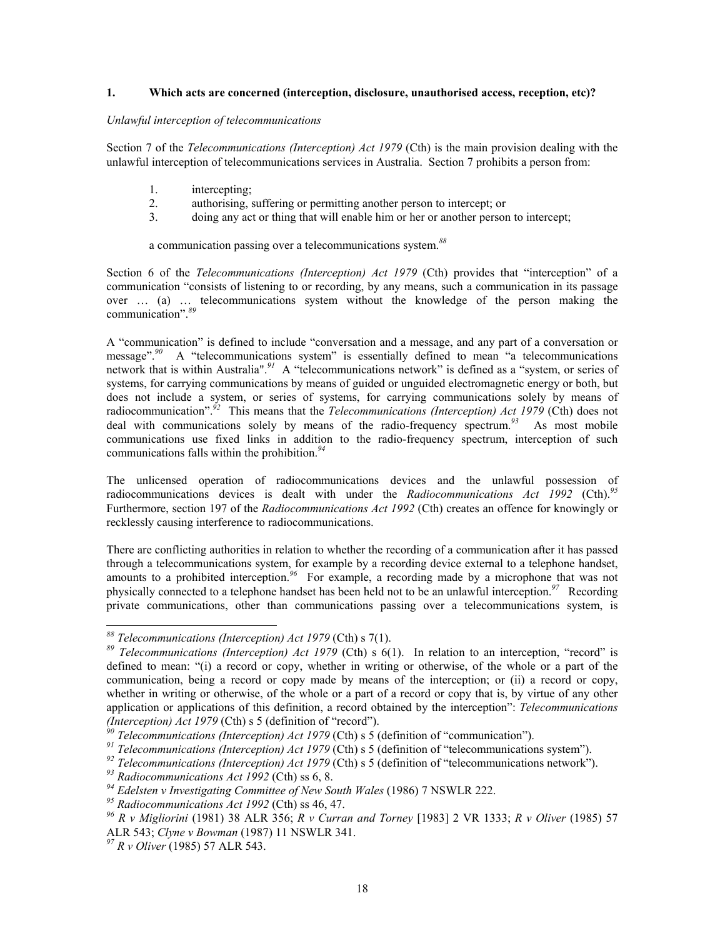#### **1. Which acts are concerned (interception, disclosure, unauthorised access, reception, etc)?**

#### *Unlawful interception of telecommunications*

Section 7 of the *Telecommunications (Interception) Act 1979* (Cth) is the main provision dealing with the unlawful interception of telecommunications services in Australia. Section 7 prohibits a person from:

- 1. intercepting;
- 2. authorising, suffering or permitting another person to intercept; or
- 3. doing any act or thing that will enable him or her or another person to intercept;

a communication passing over a telecommunications system. *[88](#page-17-0)*

Section 6 of the *Telecommunications (Interception) Act 1979* (Cth) provides that "interception" of a communication "consists of listening to or recording, by any means, such a communication in its passage over … (a) … telecommunications system without the knowledge of the person making the communication".*[89](#page-17-1)*

A "communication" is defined to include "conversation and a message, and any part of a conversation or message".<sup>[90](#page-17-2)</sup> A "telecommunications system" is essentially defined to mean "a telecommunications network that is within Australia".<sup>[91](#page-17-3)</sup> A "telecommunications network" is defined as a "system, or series of systems, for carrying communications by means of guided or unguided electromagnetic energy or both, but does not include a system, or series of systems, for carrying communications solely by means of radiocommunication".*[92](#page-17-4)* This means that the *Telecommunications (Interception) Act 1979* (Cth) does not deal with communications solely by means of the radio-frequency spectrum.<sup>[93](#page-17-5)</sup> As most mobile communications use fixed links in addition to the radio-frequency spectrum, interception of such communications falls within the prohibition. *[94](#page-17-6)*

The unlicensed operation of radiocommunications devices and the unlawful possession of radiocommunications devices is dealt with under the *Radiocommunications Act 1992* (Cth).*[95](#page-17-7)* Furthermore, section 197 of the *Radiocommunications Act 1992* (Cth) creates an offence for knowingly or recklessly causing interference to radiocommunications.

There are conflicting authorities in relation to whether the recording of a communication after it has passed through a telecommunications system, for example by a recording device external to a telephone handset, amounts to a prohibited interception.*[96](#page-17-8)* For example, a recording made by a microphone that was not physically connected to a telephone handset has been held not to be an unlawful interception.*[97](#page-17-9)* Recording private communications, other than communications passing over a telecommunications system, is

1

<span id="page-17-0"></span>*<sup>88</sup> Telecommunications (Interception) Act 1979* (Cth) s 7(1).

<span id="page-17-1"></span>*<sup>89</sup> Telecommunications (Interception) Act 1979* (Cth) s 6(1). In relation to an interception, "record" is defined to mean: "(i) a record or copy, whether in writing or otherwise, of the whole or a part of the communication, being a record or copy made by means of the interception; or (ii) a record or copy, whether in writing or otherwise, of the whole or a part of a record or copy that is, by virtue of any other application or applications of this definition, a record obtained by the interception": *Telecommunications (Interception) Act 1979* (Cth) s 5 (definition of "record").

<span id="page-17-2"></span>*<sup>90</sup> Telecommunications (Interception) Act 1979* (Cth) s 5 (definition of "communication").

<span id="page-17-3"></span>*<sup>91</sup> Telecommunications (Interception) Act 1979* (Cth) s 5 (definition of "telecommunications system").

<span id="page-17-4"></span>*<sup>92</sup> Telecommunications (Interception) Act 1979* (Cth) s 5 (definition of "telecommunications network").

<span id="page-17-5"></span>*<sup>93</sup> Radiocommunications Act 1992* (Cth) ss 6, 8.

<span id="page-17-6"></span>*<sup>94</sup> Edelsten v Investigating Committee of New South Wales* (1986) 7 NSWLR 222.

<span id="page-17-7"></span>*<sup>95</sup> Radiocommunications Act 1992* (Cth) ss 46, 47.

<span id="page-17-8"></span>*<sup>96</sup> R v Migliorini* (1981) 38 ALR 356; *R v Curran and Torney* [1983] 2 VR 1333; *R v Oliver* (1985) 57 ALR 543; *Clyne v Bowman* (1987) 11 NSWLR 341.

<span id="page-17-9"></span>*<sup>97</sup> R v Oliver* (1985) 57 ALR 543.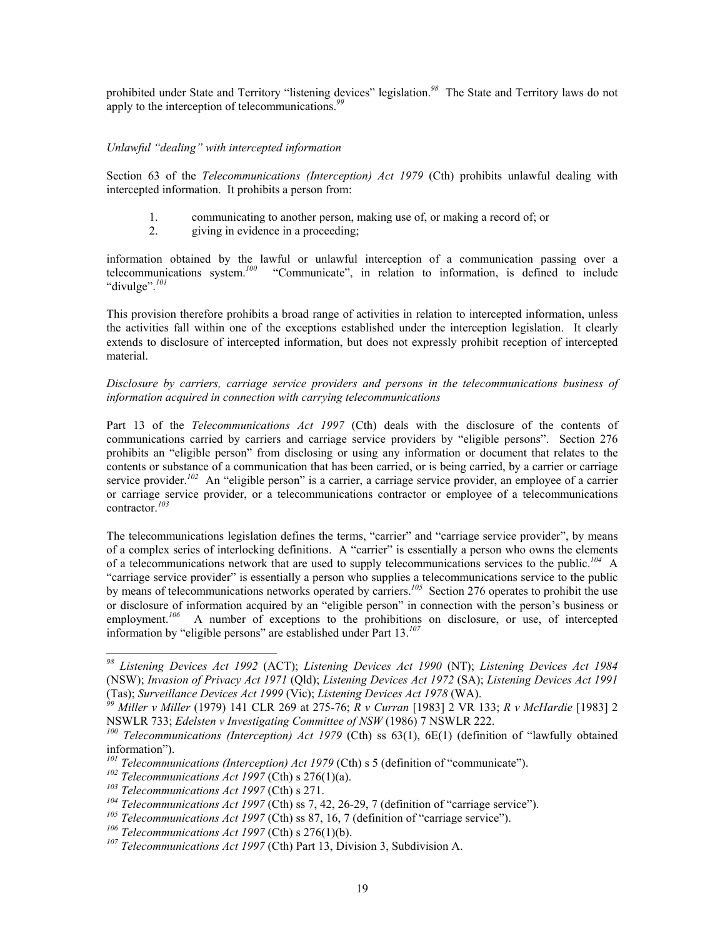prohibited under State and Territory "listening devices" legislation.*[98](#page-18-0)* The State and Territory laws do not apply to the interception of telecommunications. *[99](#page-18-1)*

#### *Unlawful "dealing" with intercepted information*

Section 63 of the *Telecommunications (Interception) Act 1979* (Cth) prohibits unlawful dealing with intercepted information. It prohibits a person from:

- 1. communicating to another person, making use of, or making a record of; or
- 2. giving in evidence in a proceeding;

information obtained by the lawful or unlawful interception of a communication passing over a telecommunications system. *[100](#page-18-2)* "Communicate", in relation to information, is defined to include "divulge".*[101](#page-18-3)*

This provision therefore prohibits a broad range of activities in relation to intercepted information, unless the activities fall within one of the exceptions established under the interception legislation. It clearly extends to disclosure of intercepted information, but does not expressly prohibit reception of intercepted material.

# *Disclosure by carriers, carriage service providers and persons in the telecommunications business of information acquired in connection with carrying telecommunications*

Part 13 of the *Telecommunications Act 1997* (Cth) deals with the disclosure of the contents of communications carried by carriers and carriage service providers by "eligible persons". Section 276 prohibits an "eligible person" from disclosing or using any information or document that relates to the contents or substance of a communication that has been carried, or is being carried, by a carrier or carriage service provider.<sup>[102](#page-18-4)</sup> An "eligible person" is a carrier, a carriage service provider, an employee of a carrier or carriage service provider, or a telecommunications contractor or employee of a telecommunications contractor.*[103](#page-18-5)*

The telecommunications legislation defines the terms, "carrier" and "carriage service provider", by means of a complex series of interlocking definitions. A "carrier" is essentially a person who owns the elements of a telecommunications network that are used to supply telecommunications services to the public. *[104](#page-18-6)* A "carriage service provider" is essentially a person who supplies a telecommunications service to the public by means of telecommunications networks operated by carriers.<sup>[105](#page-18-7)</sup> Section 276 operates to prohibit the use or disclosure of information acquired by an "eligible person" in connection with the person's business or employment.<sup>[106](#page-18-8)</sup> A number of exceptions to the prohibitions on disclosure, or use, of intercepted information by "eligible persons" are established under Part 13.*[107](#page-18-9)*

<span id="page-18-0"></span>*<sup>98</sup> Listening Devices Act 1992* (ACT); *Listening Devices Act 1990* (NT); *Listening Devices Act 1984*  (NSW); *Invasion of Privacy Act 1971* (Qld); *Listening Devices Act 1972* (SA); *Listening Devices Act 1991*  (Tas); *Surveillance Devices Act 1999* (Vic); *Listening Devices Act 1978* (WA).

<span id="page-18-1"></span>*<sup>99</sup> Miller v Miller* (1979) 141 CLR 269 at 275-76; *R v Curran* [1983] 2 VR 133; *R v McHardie* [1983] 2 NSWLR 733; *Edelsten v Investigating Committee of NSW* (1986) 7 NSWLR 222.

<span id="page-18-2"></span>*<sup>100</sup> Telecommunications (Interception) Act 1979* (Cth) ss 63(1), 6E(1) (definition of "lawfully obtained information").

<span id="page-18-3"></span>*<sup>101</sup> Telecommunications (Interception) Act 1979* (Cth) s 5 (definition of "communicate").

<span id="page-18-4"></span>*<sup>102</sup> Telecommunications Act 1997* (Cth) s 276(1)(a).

<span id="page-18-5"></span>*<sup>103</sup> Telecommunications Act 1997* (Cth) s 271.

<span id="page-18-6"></span>*<sup>104</sup> Telecommunications Act 1997* (Cth) ss 7, 42, 26-29, 7 (definition of "carriage service").

<span id="page-18-7"></span>*<sup>105</sup> Telecommunications Act 1997* (Cth) ss 87, 16, 7 (definition of "carriage service").

<span id="page-18-8"></span>*<sup>106</sup> Telecommunications Act 1997* (Cth) s 276(1)(b).

<span id="page-18-9"></span>*<sup>107</sup> Telecommunications Act 1997* (Cth) Part 13, Division 3, Subdivision A.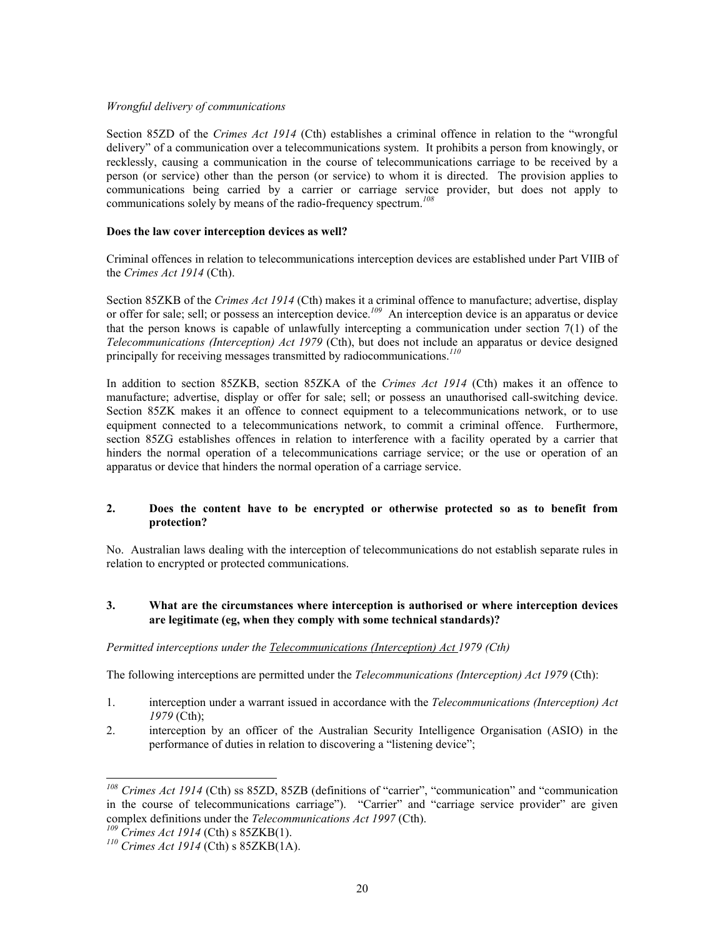#### *Wrongful delivery of communications*

Section 85ZD of the *Crimes Act 1914* (Cth) establishes a criminal offence in relation to the "wrongful delivery" of a communication over a telecommunications system. It prohibits a person from knowingly, or recklessly, causing a communication in the course of telecommunications carriage to be received by a person (or service) other than the person (or service) to whom it is directed. The provision applies to communications being carried by a carrier or carriage service provider, but does not apply to communications solely by means of the radio-frequency spectrum. *[108](#page-19-0)*

## **Does the law cover interception devices as well?**

Criminal offences in relation to telecommunications interception devices are established under Part VIIB of the *Crimes Act 1914* (Cth).

Section 85ZKB of the *Crimes Act 1914* (Cth) makes it a criminal offence to manufacture; advertise, display or offer for sale; sell; or possess an interception device.*[109](#page-19-1)* An interception device is an apparatus or device that the person knows is capable of unlawfully intercepting a communication under section 7(1) of the *Telecommunications (Interception) Act 1979* (Cth), but does not include an apparatus or device designed principally for receiving messages transmitted by radiocommunications.*[110](#page-19-2)*

In addition to section 85ZKB, section 85ZKA of the *Crimes Act 1914* (Cth) makes it an offence to manufacture; advertise, display or offer for sale; sell; or possess an unauthorised call-switching device. Section 85ZK makes it an offence to connect equipment to a telecommunications network, or to use equipment connected to a telecommunications network, to commit a criminal offence. Furthermore, section 85ZG establishes offences in relation to interference with a facility operated by a carrier that hinders the normal operation of a telecommunications carriage service; or the use or operation of an apparatus or device that hinders the normal operation of a carriage service.

## **2. Does the content have to be encrypted or otherwise protected so as to benefit from protection?**

No. Australian laws dealing with the interception of telecommunications do not establish separate rules in relation to encrypted or protected communications.

## **3. What are the circumstances where interception is authorised or where interception devices are legitimate (eg, when they comply with some technical standards)?**

## *Permitted interceptions under the Telecommunications (Interception) Act 1979 (Cth)*

The following interceptions are permitted under the *Telecommunications (Interception) Act 1979* (Cth):

- 1. interception under a warrant issued in accordance with the *Telecommunications (Interception) Act 1979* (Cth);
- 2. interception by an officer of the Australian Security Intelligence Organisation (ASIO) in the performance of duties in relation to discovering a "listening device";

<span id="page-19-0"></span>*<sup>108</sup> Crimes Act 1914* (Cth) ss 85ZD, 85ZB (definitions of "carrier", "communication" and "communication in the course of telecommunications carriage"). "Carrier" and "carriage service provider" are given complex definitions under the *Telecommunications Act 1997* (Cth).

<span id="page-19-1"></span>*<sup>109</sup> Crimes Act 1914* (Cth) s 85ZKB(1).

<span id="page-19-2"></span>*<sup>110</sup> Crimes Act 1914* (Cth) s 85ZKB(1A).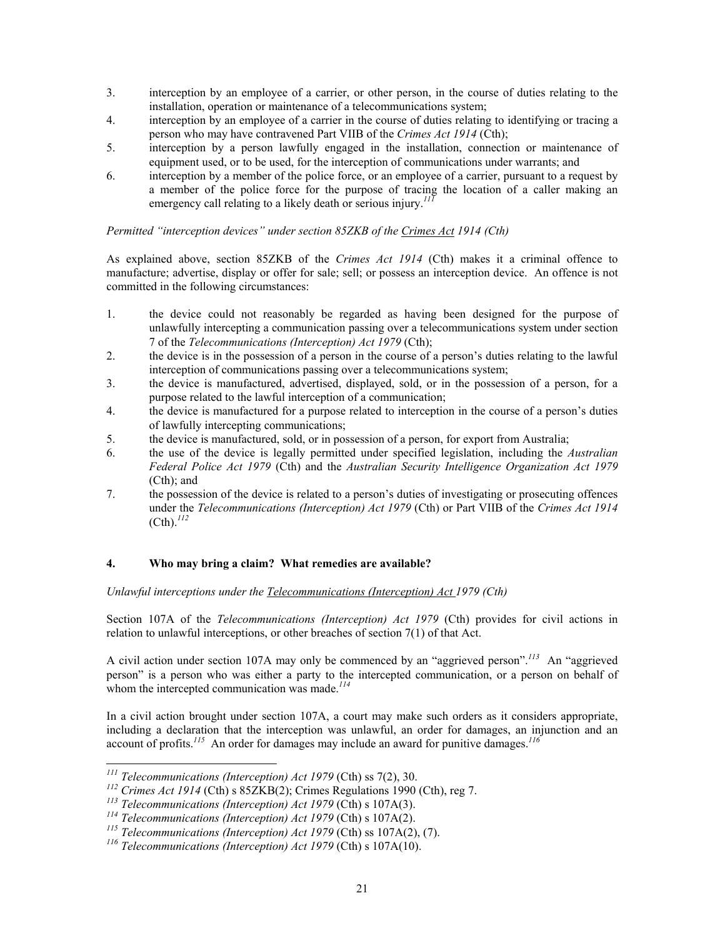- 3. interception by an employee of a carrier, or other person, in the course of duties relating to the installation, operation or maintenance of a telecommunications system;
- 4. interception by an employee of a carrier in the course of duties relating to identifying or tracing a person who may have contravened Part VIIB of the *Crimes Act 1914* (Cth);
- 5. interception by a person lawfully engaged in the installation, connection or maintenance of equipment used, or to be used, for the interception of communications under warrants; and
- 6. interception by a member of the police force, or an employee of a carrier, pursuant to a request by a member of the police force for the purpose of tracing the location of a caller making an emergency call relating to a likely death or serious injury.<sup>[111](#page-20-0)</sup>

# *Permitted "interception devices" under section 85ZKB of the Crimes Act 1914 (Cth)*

As explained above, section 85ZKB of the *Crimes Act 1914* (Cth) makes it a criminal offence to manufacture; advertise, display or offer for sale; sell; or possess an interception device. An offence is not committed in the following circumstances:

- 1. the device could not reasonably be regarded as having been designed for the purpose of unlawfully intercepting a communication passing over a telecommunications system under section 7 of the *Telecommunications (Interception) Act 1979* (Cth);
- 2. the device is in the possession of a person in the course of a person's duties relating to the lawful interception of communications passing over a telecommunications system;
- 3. the device is manufactured, advertised, displayed, sold, or in the possession of a person, for a purpose related to the lawful interception of a communication;
- 4. the device is manufactured for a purpose related to interception in the course of a person's duties of lawfully intercepting communications;
- 5. the device is manufactured, sold, or in possession of a person, for export from Australia;
- 6. the use of the device is legally permitted under specified legislation, including the *Australian Federal Police Act 1979* (Cth) and the *Australian Security Intelligence Organization Act 1979*  (Cth); and
- 7. the possession of the device is related to a person's duties of investigating or prosecuting offences under the *Telecommunications (Interception) Act 1979* (Cth) or Part VIIB of the *Crimes Act 1914*  (Cth).*[112](#page-20-1)*

## **4. Who may bring a claim? What remedies are available?**

*Unlawful interceptions under the Telecommunications (Interception) Act 1979 (Cth)*

Section 107A of the *Telecommunications (Interception) Act 1979* (Cth) provides for civil actions in relation to unlawful interceptions, or other breaches of section 7(1) of that Act.

A civil action under section 107A may only be commenced by an "aggrieved person".*[113](#page-20-2)* An "aggrieved person" is a person who was either a party to the intercepted communication, or a person on behalf of whom the intercepted communication was made.*[114](#page-20-3)*

In a civil action brought under section 107A, a court may make such orders as it considers appropriate, including a declaration that the interception was unlawful, an order for damages, an injunction and an account of profits. *[115](#page-20-4)* An order for damages may include an award for punitive damages.*[116](#page-20-5)*

 $\overline{a}$ 

<span id="page-20-0"></span>*<sup>111</sup> Telecommunications (Interception) Act 1979* (Cth) ss 7(2), 30.

<span id="page-20-1"></span>*<sup>112</sup> Crimes Act 1914* (Cth) s 85ZKB(2); Crimes Regulations 1990 (Cth), reg 7.

<span id="page-20-2"></span>*<sup>113</sup> Telecommunications (Interception) Act 1979* (Cth) s 107A(3).

<span id="page-20-3"></span>*<sup>114</sup> Telecommunications (Interception) Act 1979* (Cth) s 107A(2).

<span id="page-20-4"></span>*<sup>115</sup> Telecommunications (Interception) Act 1979* (Cth) ss 107A(2), (7).

<span id="page-20-5"></span>*<sup>116</sup> Telecommunications (Interception) Act 1979* (Cth) s 107A(10).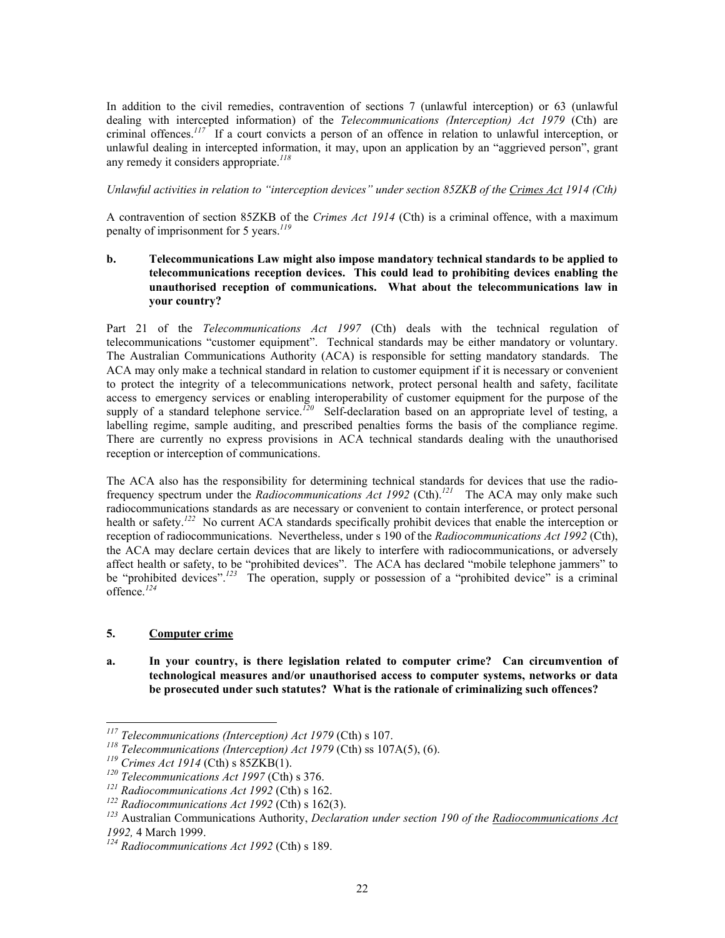In addition to the civil remedies, contravention of sections 7 (unlawful interception) or 63 (unlawful dealing with intercepted information) of the *Telecommunications (Interception) Act 1979* (Cth) are criminal offences.*[117](#page-21-0)* If a court convicts a person of an offence in relation to unlawful interception, or unlawful dealing in intercepted information, it may, upon an application by an "aggrieved person", grant any remedy it considers appropriate. *[118](#page-21-1)*

*Unlawful activities in relation to "interception devices" under section 85ZKB of the Crimes Act 1914 (Cth)*

A contravention of section 85ZKB of the *Crimes Act 1914* (Cth) is a criminal offence, with a maximum penalty of imprisonment for 5 years.*[119](#page-21-2)*

## **b. Telecommunications Law might also impose mandatory technical standards to be applied to telecommunications reception devices. This could lead to prohibiting devices enabling the unauthorised reception of communications. What about the telecommunications law in your country?**

Part 21 of the *Telecommunications Act 1997* (Cth) deals with the technical regulation of telecommunications "customer equipment". Technical standards may be either mandatory or voluntary. The Australian Communications Authority (ACA) is responsible for setting mandatory standards. The ACA may only make a technical standard in relation to customer equipment if it is necessary or convenient to protect the integrity of a telecommunications network, protect personal health and safety, facilitate access to emergency services or enabling interoperability of customer equipment for the purpose of the supply of a standard telephone service.<sup> $120$ </sup> Self-declaration based on an appropriate level of testing, a labelling regime, sample auditing, and prescribed penalties forms the basis of the compliance regime. There are currently no express provisions in ACA technical standards dealing with the unauthorised reception or interception of communications.

The ACA also has the responsibility for determining technical standards for devices that use the radiofrequency spectrum under the *Radiocommunications Act 1992* (Cth).*[121](#page-21-4)* The ACA may only make such radiocommunications standards as are necessary or convenient to contain interference, or protect personal health or safety.<sup>[122](#page-21-5)</sup> No current ACA standards specifically prohibit devices that enable the interception or reception of radiocommunications. Nevertheless, under s 190 of the *Radiocommunications Act 1992* (Cth), the ACA may declare certain devices that are likely to interfere with radiocommunications, or adversely affect health or safety, to be "prohibited devices". The ACA has declared "mobile telephone jammers" to be "prohibited devices".*[123](#page-21-6)* The operation, supply or possession of a "prohibited device" is a criminal offence.*[124](#page-21-7)*

## **5. Computer crime**

 $\overline{a}$ 

**a. In your country, is there legislation related to computer crime? Can circumvention of technological measures and/or unauthorised access to computer systems, networks or data be prosecuted under such statutes? What is the rationale of criminalizing such offences?** 

<span id="page-21-0"></span>*<sup>117</sup> Telecommunications (Interception) Act 1979* (Cth) s 107.

<span id="page-21-1"></span>*<sup>118</sup> Telecommunications (Interception) Act 1979* (Cth) ss 107A(5), (6).

<span id="page-21-2"></span>*<sup>119</sup> Crimes Act 1914* (Cth) s 85ZKB(1).

<span id="page-21-3"></span>*<sup>120</sup> Telecommunications Act 1997* (Cth) s 376.

<span id="page-21-4"></span>*<sup>121</sup> Radiocommunications Act 1992* (Cth) s 162.

<span id="page-21-5"></span>*<sup>122</sup> Radiocommunications Act 1992* (Cth) s 162(3).

<span id="page-21-6"></span>*<sup>123</sup>* Australian Communications Authority, *Declaration under section 190 of the Radiocommunications Act 1992,* 4 March 1999.

<span id="page-21-7"></span>*<sup>124</sup> Radiocommunications Act 1992* (Cth) s 189.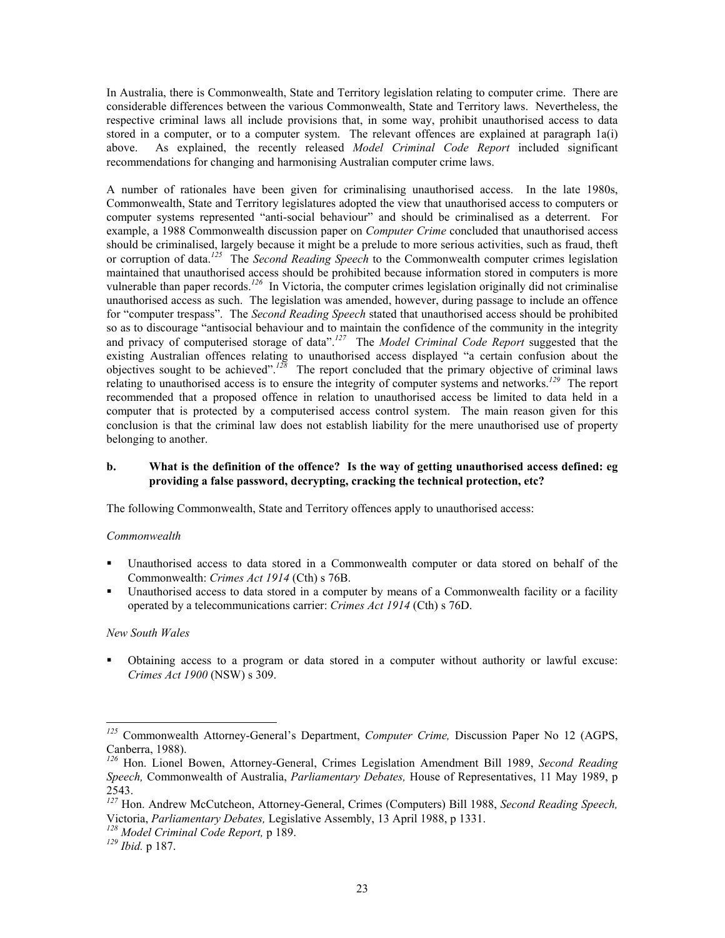In Australia, there is Commonwealth, State and Territory legislation relating to computer crime. There are considerable differences between the various Commonwealth, State and Territory laws. Nevertheless, the respective criminal laws all include provisions that, in some way, prohibit unauthorised access to data stored in a computer, or to a computer system. The relevant offences are explained at paragraph 1a(i) above. As explained, the recently released *Model Criminal Code Report* included significant recommendations for changing and harmonising Australian computer crime laws.

A number of rationales have been given for criminalising unauthorised access. In the late 1980s, Commonwealth, State and Territory legislatures adopted the view that unauthorised access to computers or computer systems represented "anti-social behaviour" and should be criminalised as a deterrent. For example, a 1988 Commonwealth discussion paper on *Computer Crime* concluded that unauthorised access should be criminalised, largely because it might be a prelude to more serious activities, such as fraud, theft or corruption of data. *[125](#page-22-0)* The *Second Reading Speech* to the Commonwealth computer crimes legislation maintained that unauthorised access should be prohibited because information stored in computers is more vulnerable than paper records.*[126](#page-22-1)* In Victoria, the computer crimes legislation originally did not criminalise unauthorised access as such. The legislation was amended, however, during passage to include an offence for "computer trespass". The *Second Reading Speech* stated that unauthorised access should be prohibited so as to discourage "antisocial behaviour and to maintain the confidence of the community in the integrity and privacy of computerised storage of data".*[127](#page-22-2)* The *Model Criminal Code Report* suggested that the existing Australian offences relating to unauthorised access displayed "a certain confusion about the objectives sought to be achieved".*[128](#page-22-3)* The report concluded that the primary objective of criminal laws relating to unauthorised access is to ensure the integrity of computer systems and networks.*[129](#page-22-4)* The report recommended that a proposed offence in relation to unauthorised access be limited to data held in a computer that is protected by a computerised access control system. The main reason given for this conclusion is that the criminal law does not establish liability for the mere unauthorised use of property belonging to another.

#### **b. What is the definition of the offence? Is the way of getting unauthorised access defined: eg providing a false password, decrypting, cracking the technical protection, etc?**

The following Commonwealth, State and Territory offences apply to unauthorised access:

#### *Commonwealth*

- Unauthorised access to data stored in a Commonwealth computer or data stored on behalf of the Commonwealth: *Crimes Act 1914* (Cth) s 76B.
- Unauthorised access to data stored in a computer by means of a Commonwealth facility or a facility operated by a telecommunications carrier: *Crimes Act 1914* (Cth) s 76D.

#### *New South Wales*

-

 Obtaining access to a program or data stored in a computer without authority or lawful excuse: *Crimes Act 1900* (NSW) s 309.

<span id="page-22-0"></span>*<sup>125</sup>* Commonwealth Attorney-General's Department, *Computer Crime,* Discussion Paper No 12 (AGPS, Canberra, 1988).

<span id="page-22-1"></span>*<sup>126</sup>* Hon. Lionel Bowen, Attorney-General, Crimes Legislation Amendment Bill 1989, *Second Reading Speech,* Commonwealth of Australia, *Parliamentary Debates,* House of Representatives, 11 May 1989, p 2543.

<span id="page-22-2"></span>*<sup>127</sup>* Hon. Andrew McCutcheon, Attorney-General, Crimes (Computers) Bill 1988, *Second Reading Speech,*  Victoria, *Parliamentary Debates,* Legislative Assembly, 13 April 1988, p 1331.

<span id="page-22-3"></span>*<sup>128</sup> Model Criminal Code Report,* p 189.

<span id="page-22-4"></span>*<sup>129</sup> Ibid.* p 187.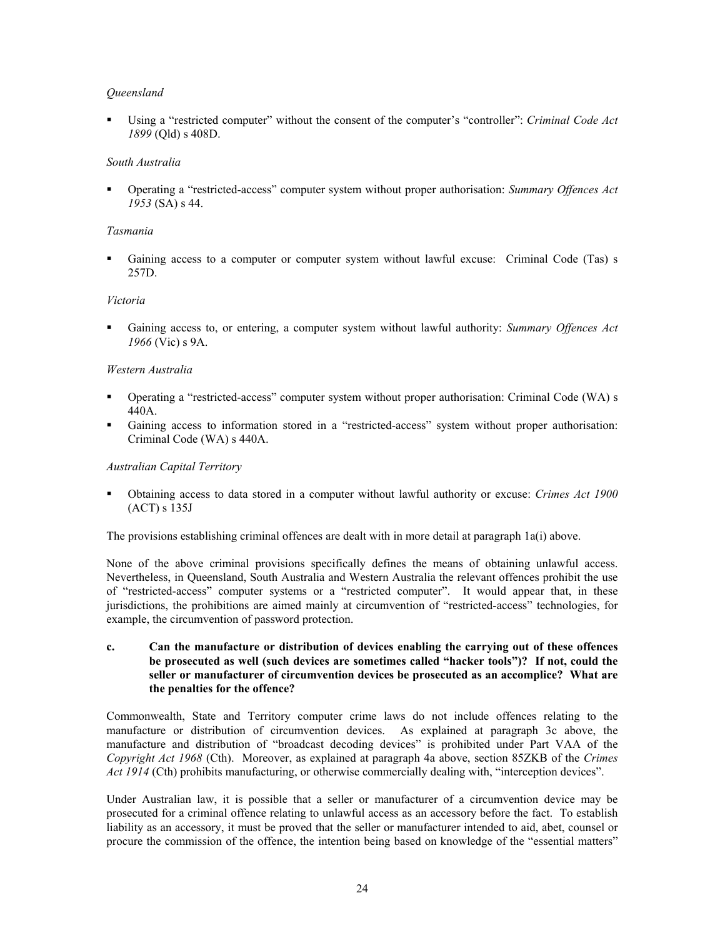## *Queensland*

 Using a "restricted computer" without the consent of the computer's "controller": *Criminal Code Act 1899* (Qld) s 408D.

#### *South Australia*

 Operating a "restricted-access" computer system without proper authorisation: *Summary Offences Act 1953* (SA) s 44.

#### *Tasmania*

 Gaining access to a computer or computer system without lawful excuse: Criminal Code (Tas) s 257D.

#### *Victoria*

 Gaining access to, or entering, a computer system without lawful authority: *Summary Offences Act 1966* (Vic) s 9A.

#### *Western Australia*

- Operating a "restricted-access" computer system without proper authorisation: Criminal Code (WA) s 440A.
- Gaining access to information stored in a "restricted-access" system without proper authorisation: Criminal Code (WA) s 440A.

#### *Australian Capital Territory*

 Obtaining access to data stored in a computer without lawful authority or excuse: *Crimes Act 1900*  (ACT) s 135J

The provisions establishing criminal offences are dealt with in more detail at paragraph 1a(i) above.

None of the above criminal provisions specifically defines the means of obtaining unlawful access. Nevertheless, in Queensland, South Australia and Western Australia the relevant offences prohibit the use of "restricted-access" computer systems or a "restricted computer". It would appear that, in these jurisdictions, the prohibitions are aimed mainly at circumvention of "restricted-access" technologies, for example, the circumvention of password protection.

#### **c. Can the manufacture or distribution of devices enabling the carrying out of these offences be prosecuted as well (such devices are sometimes called "hacker tools")? If not, could the seller or manufacturer of circumvention devices be prosecuted as an accomplice? What are the penalties for the offence?**

Commonwealth, State and Territory computer crime laws do not include offences relating to the manufacture or distribution of circumvention devices. As explained at paragraph 3c above, the manufacture and distribution of "broadcast decoding devices" is prohibited under Part VAA of the *Copyright Act 1968* (Cth). Moreover, as explained at paragraph 4a above, section 85ZKB of the *Crimes Act 1914* (Cth) prohibits manufacturing, or otherwise commercially dealing with, "interception devices".

Under Australian law, it is possible that a seller or manufacturer of a circumvention device may be prosecuted for a criminal offence relating to unlawful access as an accessory before the fact. To establish liability as an accessory, it must be proved that the seller or manufacturer intended to aid, abet, counsel or procure the commission of the offence, the intention being based on knowledge of the "essential matters"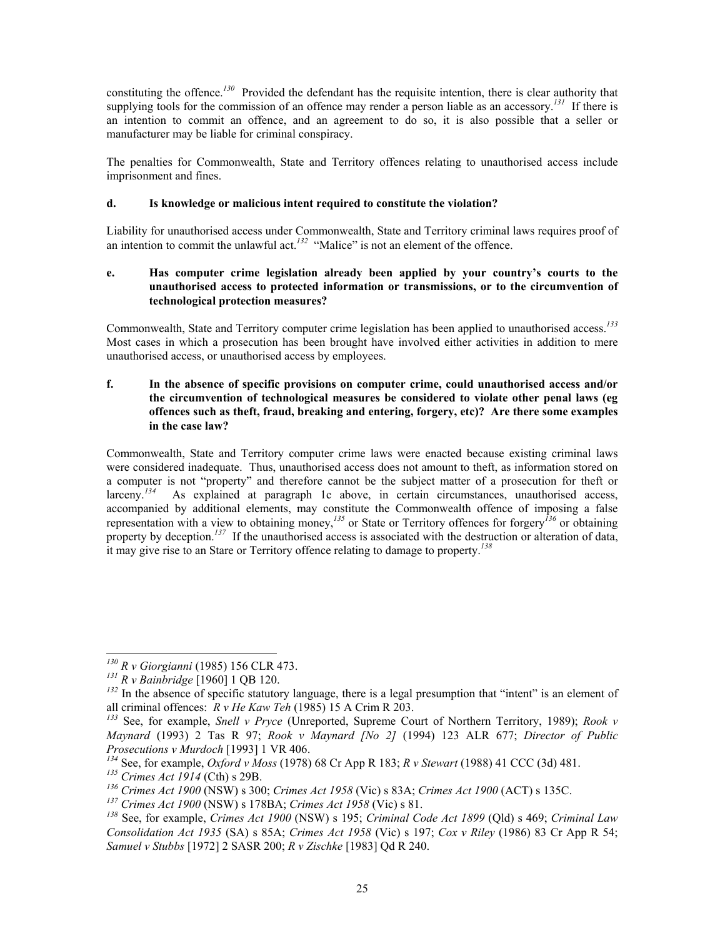constituting the offence.*[130](#page-24-0)* Provided the defendant has the requisite intention, there is clear authority that supplying tools for the commission of an offence may render a person liable as an accessory.<sup>[131](#page-24-1)</sup> If there is an intention to commit an offence, and an agreement to do so, it is also possible that a seller or manufacturer may be liable for criminal conspiracy.

The penalties for Commonwealth, State and Territory offences relating to unauthorised access include imprisonment and fines.

## **d. Is knowledge or malicious intent required to constitute the violation?**

Liability for unauthorised access under Commonwealth, State and Territory criminal laws requires proof of an intention to commit the unlawful act.<sup>[132](#page-24-2)</sup> "Malice" is not an element of the offence.

## **e. Has computer crime legislation already been applied by your country's courts to the unauthorised access to protected information or transmissions, or to the circumvention of technological protection measures?**

Commonwealth, State and Territory computer crime legislation has been applied to unauthorised access.*[133](#page-24-3)* Most cases in which a prosecution has been brought have involved either activities in addition to mere unauthorised access, or unauthorised access by employees.

## **f. In the absence of specific provisions on computer crime, could unauthorised access and/or the circumvention of technological measures be considered to violate other penal laws (eg offences such as theft, fraud, breaking and entering, forgery, etc)? Are there some examples in the case law?**

Commonwealth, State and Territory computer crime laws were enacted because existing criminal laws were considered inadequate. Thus, unauthorised access does not amount to theft, as information stored on a computer is not "property" and therefore cannot be the subject matter of a prosecution for theft or larceny.*[134](#page-24-4)* As explained at paragraph 1c above, in certain circumstances, unauthorised access, accompanied by additional elements, may constitute the Commonwealth offence of imposing a false representation with a view to obtaining money, *[135](#page-24-5)* or State or Territory offences for forgery*[136](#page-24-6)* or obtaining property by deception.<sup>[137](#page-24-7)</sup> If the unauthorised access is associated with the destruction or alteration of data, it may give rise to an Stare or Territory offence relating to damage to property. *[138](#page-24-8)*

<span id="page-24-0"></span><sup>-</sup>*<sup>130</sup> R v Giorgianni* (1985) 156 CLR 473.

<span id="page-24-1"></span>*<sup>131</sup> R v Bainbridge* [1960] 1 QB 120.

<span id="page-24-2"></span><sup>&</sup>lt;sup>132</sup> In the absence of specific statutory language, there is a legal presumption that "intent" is an element of all criminal offences:  $R v He Kaw Teh (1985) 15 A Crim R 203$ .

<span id="page-24-3"></span><sup>&</sup>lt;sup>133</sup> See, for example, *Snell v Pryce* (Unreported, Supreme Court of Northern Territory, 1989); *Rook v Maynard* (1993) 2 Tas R 97; *Rook v Maynard [No 2]* (1994) 123 ALR 677; *Director of Public Prosecutions v Murdoch* [1993] 1 VR 406.

<span id="page-24-4"></span>*<sup>134</sup>* See, for example, *Oxford v Moss* (1978) 68 Cr App R 183; *R v Stewart* (1988) 41 CCC (3d) 481.

<span id="page-24-5"></span>*<sup>135</sup> Crimes Act 1914* (Cth) s 29B.

<span id="page-24-6"></span>*<sup>136</sup> Crimes Act 1900* (NSW) s 300; *Crimes Act 1958* (Vic) s 83A; *Crimes Act 1900* (ACT) s 135C.

<span id="page-24-7"></span>*<sup>137</sup> Crimes Act 1900* (NSW) s 178BA; *Crimes Act 1958* (Vic) s 81.

<span id="page-24-8"></span>*<sup>138</sup>* See, for example, *Crimes Act 1900* (NSW) s 195; *Criminal Code Act 1899* (Qld) s 469; *Criminal Law Consolidation Act 1935* (SA) s 85A; *Crimes Act 1958* (Vic) s 197; *Cox v Riley* (1986) 83 Cr App R 54; *Samuel v Stubbs* [1972] 2 SASR 200; *R v Zischke* [1983] Qd R 240.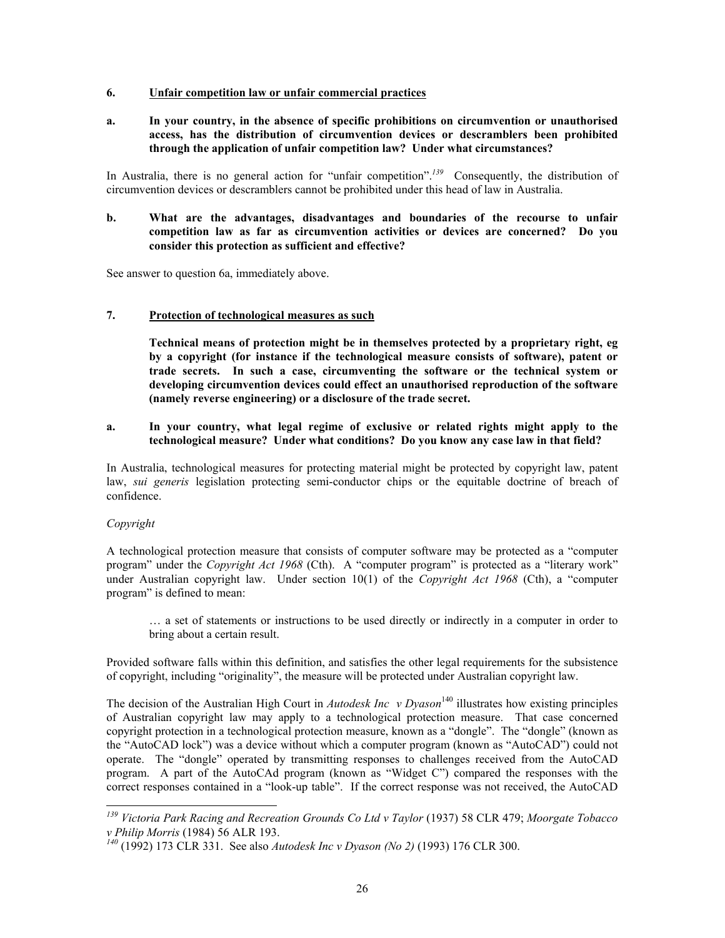#### **6. Unfair competition law or unfair commercial practices**

**a. In your country, in the absence of specific prohibitions on circumvention or unauthorised access, has the distribution of circumvention devices or descramblers been prohibited through the application of unfair competition law? Under what circumstances?** 

In Australia, there is no general action for "unfair competition".<sup>[139](#page-25-0)</sup> Consequently, the distribution of circumvention devices or descramblers cannot be prohibited under this head of law in Australia.

## **b. What are the advantages, disadvantages and boundaries of the recourse to unfair competition law as far as circumvention activities or devices are concerned? Do you consider this protection as sufficient and effective?**

See answer to question 6a, immediately above.

## **7. Protection of technological measures as such**

**Technical means of protection might be in themselves protected by a proprietary right, eg by a copyright (for instance if the technological measure consists of software), patent or trade secrets. In such a case, circumventing the software or the technical system or developing circumvention devices could effect an unauthorised reproduction of the software (namely reverse engineering) or a disclosure of the trade secret.** 

#### **a. In your country, what legal regime of exclusive or related rights might apply to the technological measure? Under what conditions? Do you know any case law in that field?**

In Australia, technological measures for protecting material might be protected by copyright law, patent law, *sui generis* legislation protecting semi-conductor chips or the equitable doctrine of breach of confidence.

## *Copyright*

-

A technological protection measure that consists of computer software may be protected as a "computer program" under the *Copyright Act 1968* (Cth). A "computer program" is protected as a "literary work" under Australian copyright law. Under section 10(1) of the *Copyright Act 1968* (Cth), a "computer program" is defined to mean:

… a set of statements or instructions to be used directly or indirectly in a computer in order to bring about a certain result.

Provided software falls within this definition, and satisfies the other legal requirements for the subsistence of copyright, including "originality", the measure will be protected under Australian copyright law.

The decision of the Australian High Court in *Autodesk Inc v Dyason*<sup>[140](#page-25-1)</sup> illustrates how existing principles of Australian copyright law may apply to a technological protection measure. That case concerned copyright protection in a technological protection measure, known as a "dongle". The "dongle" (known as the "AutoCAD lock") was a device without which a computer program (known as "AutoCAD") could not operate. The "dongle" operated by transmitting responses to challenges received from the AutoCAD program. A part of the AutoCAd program (known as "Widget C") compared the responses with the correct responses contained in a "look-up table". If the correct response was not received, the AutoCAD

<span id="page-25-0"></span>*<sup>139</sup> Victoria Park Racing and Recreation Grounds Co Ltd v Taylor* (1937) 58 CLR 479; *Moorgate Tobacco v Philip Morris* (1984) 56 ALR 193.

<span id="page-25-1"></span>*<sup>140</sup>* (1992) 173 CLR 331. See also *Autodesk Inc v Dyason (No 2)* (1993) 176 CLR 300.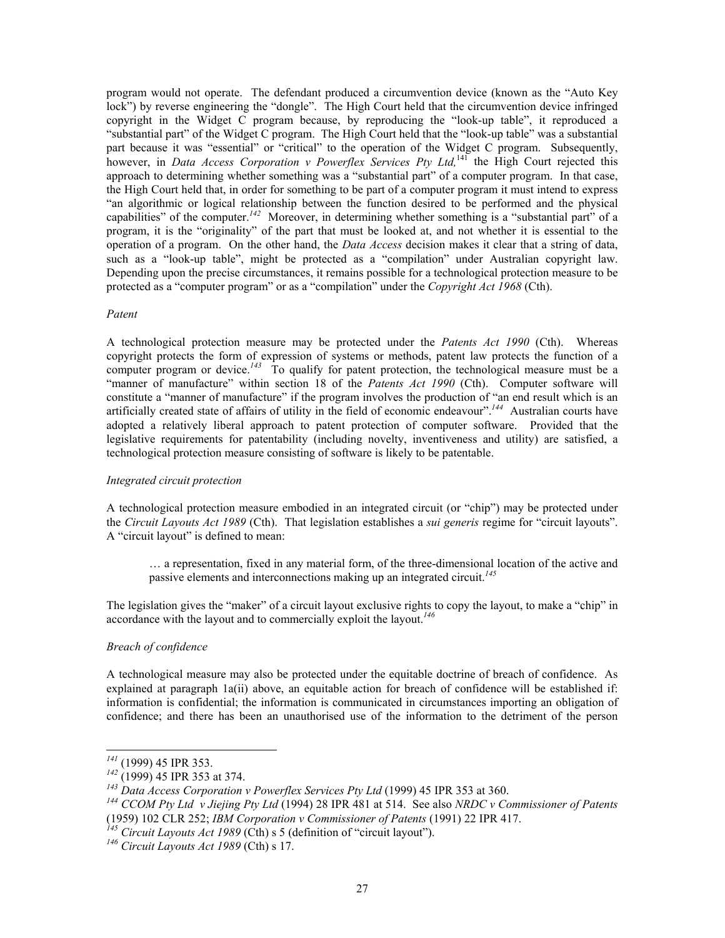program would not operate. The defendant produced a circumvention device (known as the "Auto Key lock") by reverse engineering the "dongle". The High Court held that the circumvention device infringed copyright in the Widget C program because, by reproducing the "look-up table", it reproduced a "substantial part" of the Widget C program. The High Court held that the "look-up table" was a substantial part because it was "essential" or "critical" to the operation of the Widget C program. Subsequently, however, in *Data Access Corporation v Powerflex Services Pty Ltd,*[141](#page-26-0) the High Court rejected this approach to determining whether something was a "substantial part" of a computer program. In that case, the High Court held that, in order for something to be part of a computer program it must intend to express "an algorithmic or logical relationship between the function desired to be performed and the physical capabilities" of the computer.*[142](#page-26-1)* Moreover, in determining whether something is a "substantial part" of a program, it is the "originality" of the part that must be looked at, and not whether it is essential to the operation of a program. On the other hand, the *Data Access* decision makes it clear that a string of data, such as a "look-up table", might be protected as a "compilation" under Australian copyright law. Depending upon the precise circumstances, it remains possible for a technological protection measure to be protected as a "computer program" or as a "compilation" under the *Copyright Act 1968* (Cth).

#### *Patent*

A technological protection measure may be protected under the *Patents Act 1990* (Cth). Whereas copyright protects the form of expression of systems or methods, patent law protects the function of a computer program or device.<sup>[143](#page-26-2)</sup> To qualify for patent protection, the technological measure must be a "manner of manufacture" within section 18 of the *Patents Act 1990* (Cth). Computer software will constitute a "manner of manufacture" if the program involves the production of "an end result which is an artificially created state of affairs of utility in the field of economic endeavour".*[144](#page-26-3)* Australian courts have adopted a relatively liberal approach to patent protection of computer software. Provided that the legislative requirements for patentability (including novelty, inventiveness and utility) are satisfied, a technological protection measure consisting of software is likely to be patentable.

#### *Integrated circuit protection*

A technological protection measure embodied in an integrated circuit (or "chip") may be protected under the *Circuit Layouts Act 1989* (Cth). That legislation establishes a *sui generis* regime for "circuit layouts". A "circuit layout" is defined to mean:

… a representation, fixed in any material form, of the three-dimensional location of the active and passive elements and interconnections making up an integrated circuit. *[145](#page-26-4)*

The legislation gives the "maker" of a circuit layout exclusive rights to copy the layout, to make a "chip" in accordance with the layout and to commercially exploit the layout.*[146](#page-26-5)*

#### *Breach of confidence*

A technological measure may also be protected under the equitable doctrine of breach of confidence. As explained at paragraph 1a(ii) above, an equitable action for breach of confidence will be established if: information is confidential; the information is communicated in circumstances importing an obligation of confidence; and there has been an unauthorised use of the information to the detriment of the person

 $\overline{a}$ 

<span id="page-26-4"></span>*<sup>145</sup> Circuit Layouts Act 1989* (Cth) s 5 (definition of "circuit layout").

<span id="page-26-0"></span>*<sup>141</sup>* (1999) 45 IPR 353.

<span id="page-26-1"></span>*<sup>142</sup>* (1999) 45 IPR 353 at 374.

<span id="page-26-2"></span>*<sup>143</sup> Data Access Corporation v Powerflex Services Pty Ltd* (1999) 45 IPR 353 at 360.

<span id="page-26-3"></span>*<sup>144</sup> CCOM Pty Ltd v Jiejing Pty Ltd* (1994) 28 IPR 481 at 514. See also *NRDC v Commissioner of Patents*  (1959) 102 CLR 252; *IBM Corporation v Commissioner of Patents* (1991) 22 IPR 417.

<span id="page-26-5"></span>*<sup>146</sup> Circuit Layouts Act 1989* (Cth) s 17.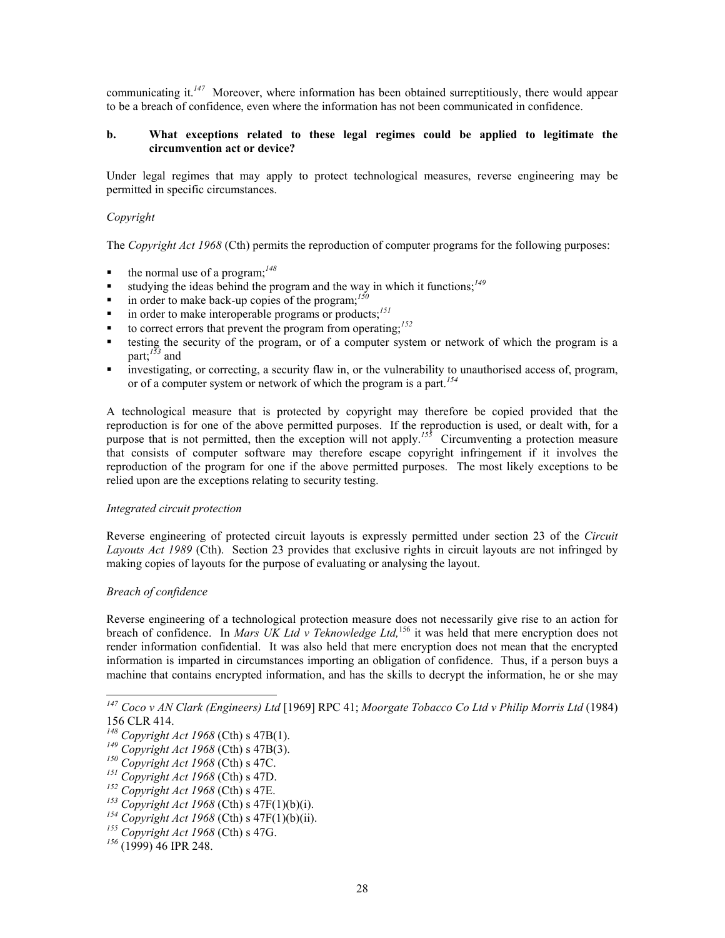communicating it. *[147](#page-27-0)* Moreover, where information has been obtained surreptitiously, there would appear to be a breach of confidence, even where the information has not been communicated in confidence.

#### **b. What exceptions related to these legal regimes could be applied to legitimate the circumvention act or device?**

Under legal regimes that may apply to protect technological measures, reverse engineering may be permitted in specific circumstances.

#### *Copyright*

The *Copyright Act 1968* (Cth) permits the reproduction of computer programs for the following purposes:

- $\bullet$  the normal use of a program;<sup>[148](#page-27-1)</sup>
- studying the ideas behind the program and the way in which it functions;<sup>[149](#page-27-2)</sup>
- $\blacksquare$  in order to make back-up copies of the program;<sup>[150](#page-27-3)</sup>
- $\blacksquare$  in order to make interoperable programs or products;<sup>[151](#page-27-4)</sup>
- to correct errors that prevent the program from operating;<sup>[152](#page-27-5)</sup>
- testing the security of the program, or of a computer system or network of which the program is a part; *[153](#page-27-6)* and
- investigating, or correcting, a security flaw in, or the vulnerability to unauthorised access of, program, or of a computer system or network of which the program is a part. *[154](#page-27-7)*

A technological measure that is protected by copyright may therefore be copied provided that the reproduction is for one of the above permitted purposes. If the reproduction is used, or dealt with, for a purpose that is not permitted, then the exception will not apply.<sup>[155](#page-27-8)</sup> Circumventing a protection measure that consists of computer software may therefore escape copyright infringement if it involves the reproduction of the program for one if the above permitted purposes. The most likely exceptions to be relied upon are the exceptions relating to security testing.

#### *Integrated circuit protection*

Reverse engineering of protected circuit layouts is expressly permitted under section 23 of the *Circuit Layouts Act 1989* (Cth). Section 23 provides that exclusive rights in circuit layouts are not infringed by making copies of layouts for the purpose of evaluating or analysing the layout.

#### *Breach of confidence*

1

Reverse engineering of a technological protection measure does not necessarily give rise to an action for breach of confidence. In *Mars UK Ltd v Teknowledge Ltd,*[156](#page-27-9) it was held that mere encryption does not render information confidential. It was also held that mere encryption does not mean that the encrypted information is imparted in circumstances importing an obligation of confidence. Thus, if a person buys a machine that contains encrypted information, and has the skills to decrypt the information, he or she may

<span id="page-27-0"></span>*<sup>147</sup> Coco v AN Clark (Engineers) Ltd* [1969] RPC 41; *Moorgate Tobacco Co Ltd v Philip Morris Ltd* (1984) 156 CLR 414.

<span id="page-27-1"></span>*<sup>148</sup> Copyright Act 1968* (Cth) s 47B(1).

<span id="page-27-2"></span>*<sup>149</sup> Copyright Act 1968* (Cth) s 47B(3).

<span id="page-27-3"></span>*<sup>150</sup> Copyright Act 1968* (Cth) s 47C.

<span id="page-27-4"></span>*<sup>151</sup> Copyright Act 1968* (Cth) s 47D.

<span id="page-27-5"></span>*<sup>152</sup> Copyright Act 1968* (Cth) s 47E.

<span id="page-27-6"></span>*<sup>153</sup> Copyright Act 1968* (Cth) s 47F(1)(b)(i).

<span id="page-27-7"></span>*<sup>154</sup> Copyright Act 1968* (Cth) s 47F(1)(b)(ii).

<span id="page-27-8"></span>*<sup>155</sup> Copyright Act 1968* (Cth) s 47G.

<span id="page-27-9"></span>*<sup>156</sup>* (1999) 46 IPR 248.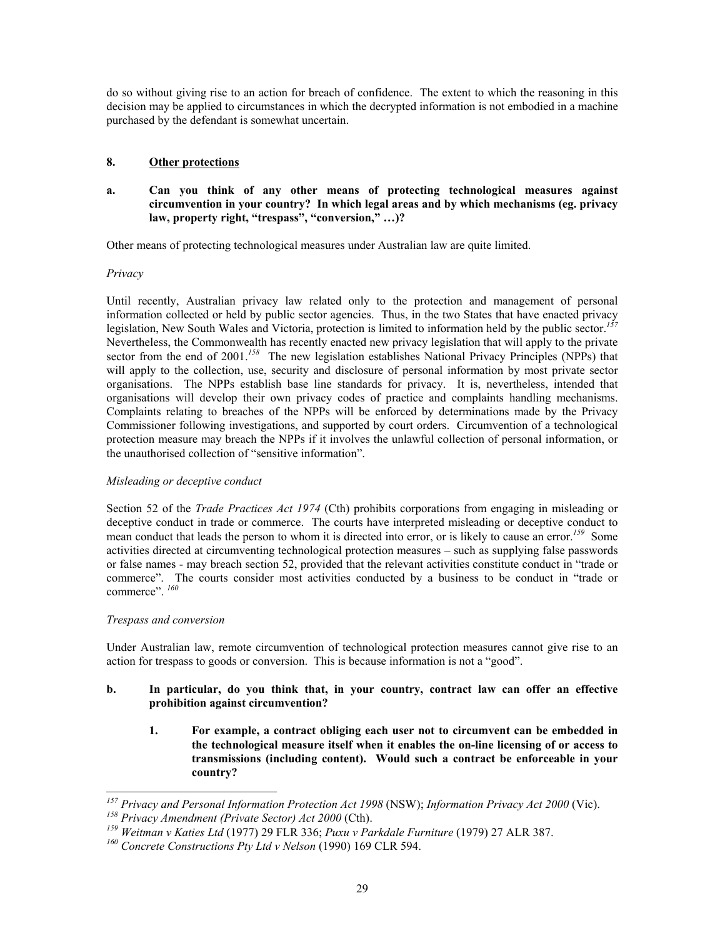do so without giving rise to an action for breach of confidence. The extent to which the reasoning in this decision may be applied to circumstances in which the decrypted information is not embodied in a machine purchased by the defendant is somewhat uncertain.

# **8. Other protections**

## **a. Can you think of any other means of protecting technological measures against circumvention in your country? In which legal areas and by which mechanisms (eg. privacy law, property right, "trespass", "conversion," …)?**

Other means of protecting technological measures under Australian law are quite limited.

*Privacy* 

Until recently, Australian privacy law related only to the protection and management of personal information collected or held by public sector agencies. Thus, in the two States that have enacted privacy legislation, New South Wales and Victoria, protection is limited to information held by the public sector. *[157](#page-28-0)* Nevertheless, the Commonwealth has recently enacted new privacy legislation that will apply to the private sector from the end of 2001.<sup>[158](#page-28-1)</sup> The new legislation establishes National Privacy Principles (NPPs) that will apply to the collection, use, security and disclosure of personal information by most private sector organisations. The NPPs establish base line standards for privacy. It is, nevertheless, intended that organisations will develop their own privacy codes of practice and complaints handling mechanisms. Complaints relating to breaches of the NPPs will be enforced by determinations made by the Privacy Commissioner following investigations, and supported by court orders. Circumvention of a technological protection measure may breach the NPPs if it involves the unlawful collection of personal information, or the unauthorised collection of "sensitive information".

## *Misleading or deceptive conduct*

Section 52 of the *Trade Practices Act 1974* (Cth) prohibits corporations from engaging in misleading or deceptive conduct in trade or commerce. The courts have interpreted misleading or deceptive conduct to mean conduct that leads the person to whom it is directed into error, or is likely to cause an error.*[159](#page-28-2)* Some activities directed at circumventing technological protection measures – such as supplying false passwords or false names - may breach section 52, provided that the relevant activities constitute conduct in "trade or commerce". The courts consider most activities conducted by a business to be conduct in "trade or commerce". *[160](#page-28-3)*

## *Trespass and conversion*

-

Under Australian law, remote circumvention of technological protection measures cannot give rise to an action for trespass to goods or conversion. This is because information is not a "good".

- **b. In particular, do you think that, in your country, contract law can offer an effective prohibition against circumvention?** 
	- **1. For example, a contract obliging each user not to circumvent can be embedded in the technological measure itself when it enables the on-line licensing of or access to transmissions (including content). Would such a contract be enforceable in your country?**

<span id="page-28-0"></span>*<sup>157</sup> Privacy and Personal Information Protection Act 1998* (NSW); *Information Privacy Act 2000* (Vic). *<sup>158</sup> Privacy Amendment (Private Sector) Act 2000* (Cth).

<span id="page-28-2"></span><span id="page-28-1"></span>*<sup>159</sup> Weitman v Katies Ltd* (1977) 29 FLR 336; *Puxu v Parkdale Furniture* (1979) 27 ALR 387.

<span id="page-28-3"></span>*<sup>160</sup> Concrete Constructions Pty Ltd v Nelson* (1990) 169 CLR 594.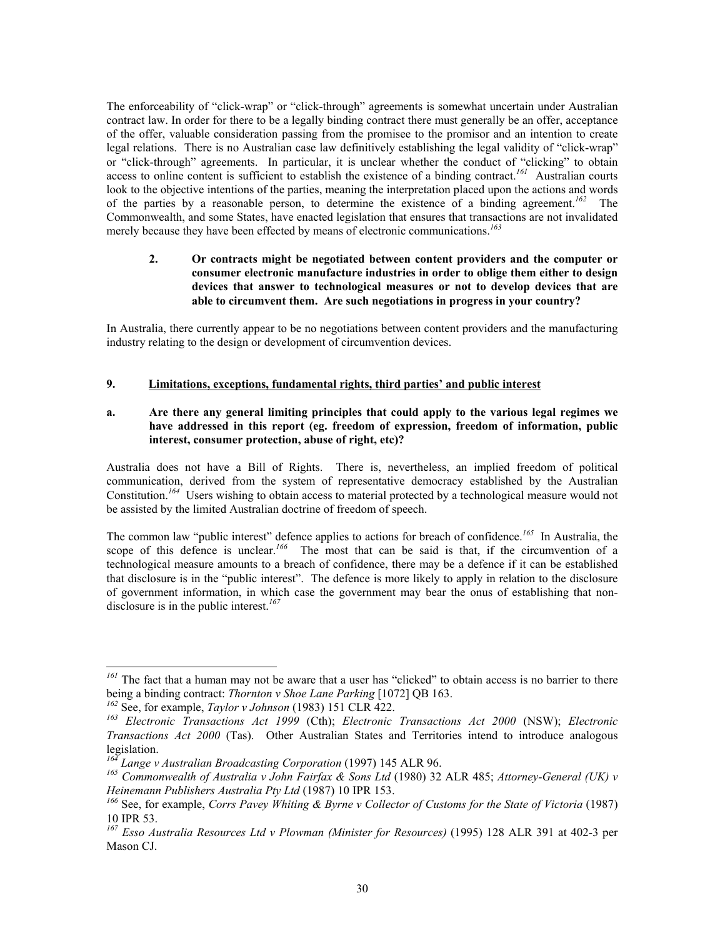The enforceability of "click-wrap" or "click-through" agreements is somewhat uncertain under Australian contract law. In order for there to be a legally binding contract there must generally be an offer, acceptance of the offer, valuable consideration passing from the promisee to the promisor and an intention to create legal relations. There is no Australian case law definitively establishing the legal validity of "click-wrap" or "click-through" agreements. In particular, it is unclear whether the conduct of "clicking" to obtain access to online content is sufficient to establish the existence of a binding contract.*[161](#page-29-0)* Australian courts look to the objective intentions of the parties, meaning the interpretation placed upon the actions and words of the parties by a reasonable person, to determine the existence of a binding agreement. *[162](#page-29-1)* The Commonwealth, and some States, have enacted legislation that ensures that transactions are not invalidated merely because they have been effected by means of electronic communications.*[163](#page-29-2)*

## **2. Or contracts might be negotiated between content providers and the computer or consumer electronic manufacture industries in order to oblige them either to design devices that answer to technological measures or not to develop devices that are able to circumvent them. Are such negotiations in progress in your country?**

In Australia, there currently appear to be no negotiations between content providers and the manufacturing industry relating to the design or development of circumvention devices.

# **9. Limitations, exceptions, fundamental rights, third parties' and public interest**

# **a. Are there any general limiting principles that could apply to the various legal regimes we have addressed in this report (eg. freedom of expression, freedom of information, public interest, consumer protection, abuse of right, etc)?**

Australia does not have a Bill of Rights. There is, nevertheless, an implied freedom of political communication, derived from the system of representative democracy established by the Australian Constitution.<sup>[164](#page-29-3)</sup> Users wishing to obtain access to material protected by a technological measure would not be assisted by the limited Australian doctrine of freedom of speech.

The common law "public interest" defence applies to actions for breach of confidence.*[165](#page-29-4)* In Australia, the scope of this defence is unclear.<sup>[166](#page-29-5)</sup> The most that can be said is that, if the circumvention of a technological measure amounts to a breach of confidence, there may be a defence if it can be established that disclosure is in the "public interest". The defence is more likely to apply in relation to the disclosure of government information, in which case the government may bear the onus of establishing that nondisclosure is in the public interest.*[167](#page-29-6)*

 $\overline{a}$ 

<span id="page-29-0"></span><sup>&</sup>lt;sup>161</sup> The fact that a human may not be aware that a user has "clicked" to obtain access is no barrier to there being a binding contract: *Thornton v Shoe Lane Parking* [1072] QB 163.

<span id="page-29-1"></span>*<sup>162</sup>* See, for example, *Taylor v Johnson* (1983) 151 CLR 422.

<span id="page-29-2"></span>*<sup>163</sup> Electronic Transactions Act 1999* (Cth); *Electronic Transactions Act 2000* (NSW); *Electronic Transactions Act 2000* (Tas). Other Australian States and Territories intend to introduce analogous legislation.

<span id="page-29-3"></span>*<sup>164</sup> Lange v Australian Broadcasting Corporation* (1997) 145 ALR 96.

<span id="page-29-4"></span>*<sup>165</sup> Commonwealth of Australia v John Fairfax & Sons Ltd* (1980) 32 ALR 485; *Attorney-General (UK) v Heinemann Publishers Australia Pty Ltd* (1987) 10 IPR 153.

<span id="page-29-5"></span><sup>&</sup>lt;sup>166</sup> See, for example, *Corrs Pavey Whiting & Byrne v Collector of Customs for the State of Victoria* (1987) 10 IPR 53.

<span id="page-29-6"></span>*<sup>167</sup> Esso Australia Resources Ltd v Plowman (Minister for Resources)* (1995) 128 ALR 391 at 402-3 per Mason CJ.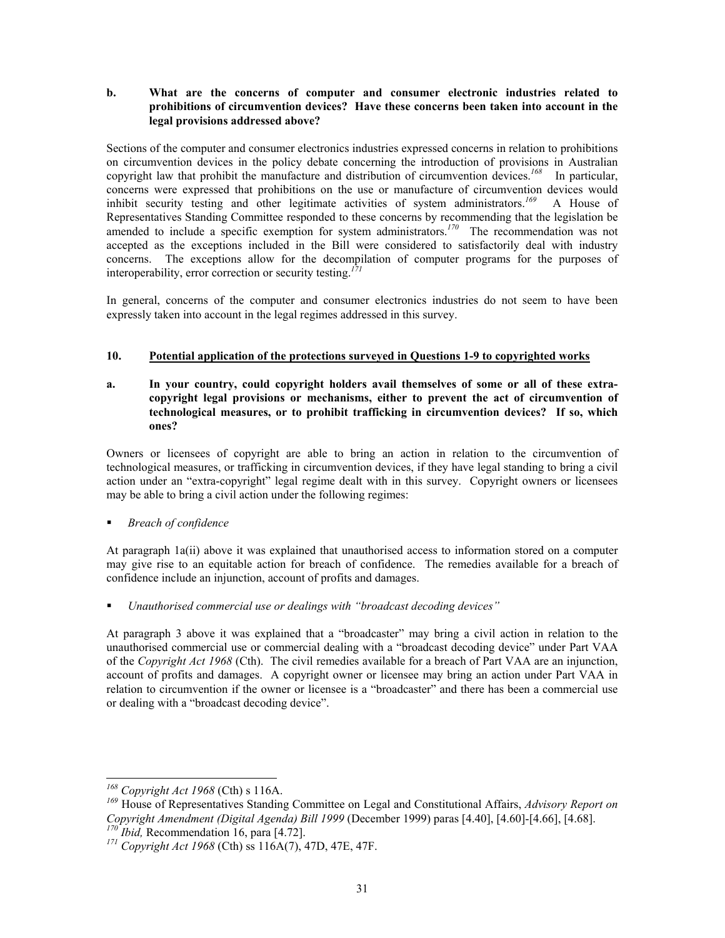## **b. What are the concerns of computer and consumer electronic industries related to prohibitions of circumvention devices? Have these concerns been taken into account in the legal provisions addressed above?**

Sections of the computer and consumer electronics industries expressed concerns in relation to prohibitions on circumvention devices in the policy debate concerning the introduction of provisions in Australian copyright law that prohibit the manufacture and distribution of circumvention devices.*[168](#page-30-0)* In particular, concerns were expressed that prohibitions on the use or manufacture of circumvention devices would inhibit security testing and other legitimate activities of system administrators.*[169](#page-30-1)* A House of Representatives Standing Committee responded to these concerns by recommending that the legislation be amended to include a specific exemption for system administrators.<sup>[170](#page-30-2)</sup> The recommendation was not accepted as the exceptions included in the Bill were considered to satisfactorily deal with industry concerns. The exceptions allow for the decompilation of computer programs for the purposes of interoperability, error correction or security testing. *[171](#page-30-3)*

In general, concerns of the computer and consumer electronics industries do not seem to have been expressly taken into account in the legal regimes addressed in this survey.

# **10. Potential application of the protections surveyed in Questions 1-9 to copyrighted works**

**a. In your country, could copyright holders avail themselves of some or all of these extracopyright legal provisions or mechanisms, either to prevent the act of circumvention of technological measures, or to prohibit trafficking in circumvention devices? If so, which ones?** 

Owners or licensees of copyright are able to bring an action in relation to the circumvention of technological measures, or trafficking in circumvention devices, if they have legal standing to bring a civil action under an "extra-copyright" legal regime dealt with in this survey. Copyright owners or licensees may be able to bring a civil action under the following regimes:

*Breach of confidence*

At paragraph 1a(ii) above it was explained that unauthorised access to information stored on a computer may give rise to an equitable action for breach of confidence. The remedies available for a breach of confidence include an injunction, account of profits and damages.

*Unauthorised commercial use or dealings with "broadcast decoding devices"*

At paragraph 3 above it was explained that a "broadcaster" may bring a civil action in relation to the unauthorised commercial use or commercial dealing with a "broadcast decoding device" under Part VAA of the *Copyright Act 1968* (Cth). The civil remedies available for a breach of Part VAA are an injunction, account of profits and damages. A copyright owner or licensee may bring an action under Part VAA in relation to circumvention if the owner or licensee is a "broadcaster" and there has been a commercial use or dealing with a "broadcast decoding device".

 $\overline{a}$ 

<span id="page-30-0"></span>*<sup>168</sup> Copyright Act 1968* (Cth) s 116A.

<span id="page-30-1"></span>*<sup>169</sup>* House of Representatives Standing Committee on Legal and Constitutional Affairs, *Advisory Report on Copyright Amendment (Digital Agenda) Bill 1999* (December 1999) paras [4.40], [4.60]-[4.66], [4.68]. *<sup>170</sup> Ibid,* Recommendation 16, para [4.72].

<span id="page-30-3"></span><span id="page-30-2"></span>*<sup>171</sup> Copyright Act 1968* (Cth) ss 116A(7), 47D, 47E, 47F.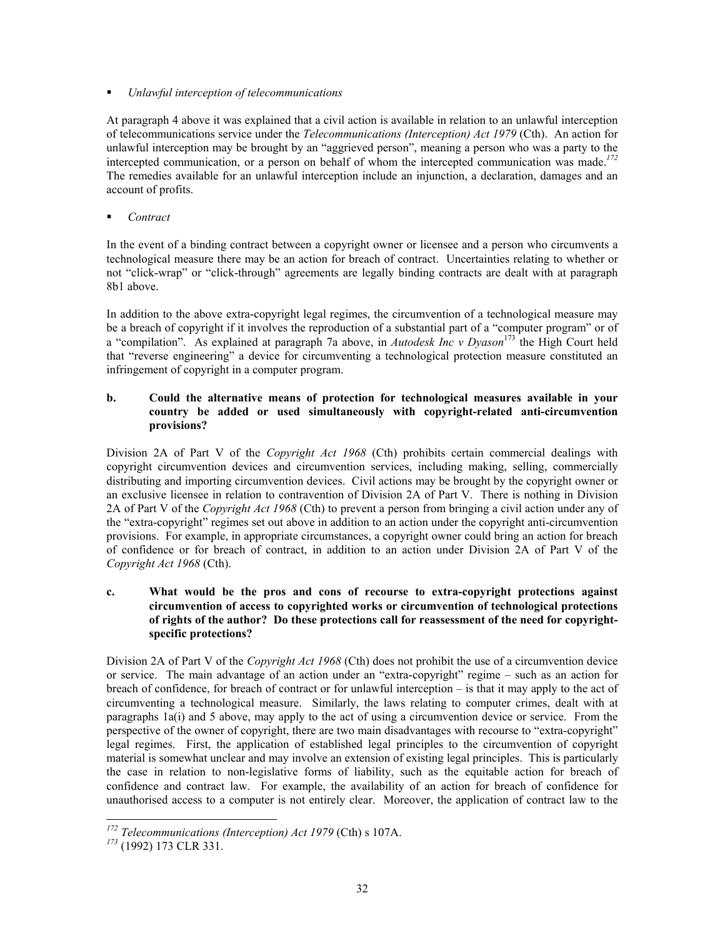*Unlawful interception of telecommunications*

At paragraph 4 above it was explained that a civil action is available in relation to an unlawful interception of telecommunications service under the *Telecommunications (Interception) Act 1979* (Cth). An action for unlawful interception may be brought by an "aggrieved person", meaning a person who was a party to the intercepted communication, or a person on behalf of whom the intercepted communication was made.*[172](#page-31-0)* The remedies available for an unlawful interception include an injunction, a declaration, damages and an account of profits.

■ *Contract* 

In the event of a binding contract between a copyright owner or licensee and a person who circumvents a technological measure there may be an action for breach of contract. Uncertainties relating to whether or not "click-wrap" or "click-through" agreements are legally binding contracts are dealt with at paragraph 8b1 above.

In addition to the above extra-copyright legal regimes, the circumvention of a technological measure may be a breach of copyright if it involves the reproduction of a substantial part of a "computer program" or of a "compilation". As explained at paragraph 7a above, in *Autodesk Inc v Dyason*[173](#page-31-1) the High Court held that "reverse engineering" a device for circumventing a technological protection measure constituted an infringement of copyright in a computer program.

## **b. Could the alternative means of protection for technological measures available in your country be added or used simultaneously with copyright-related anti-circumvention provisions?**

Division 2A of Part V of the *Copyright Act 1968* (Cth) prohibits certain commercial dealings with copyright circumvention devices and circumvention services, including making, selling, commercially distributing and importing circumvention devices. Civil actions may be brought by the copyright owner or an exclusive licensee in relation to contravention of Division 2A of Part V. There is nothing in Division 2A of Part V of the *Copyright Act 1968* (Cth) to prevent a person from bringing a civil action under any of the "extra-copyright" regimes set out above in addition to an action under the copyright anti-circumvention provisions. For example, in appropriate circumstances, a copyright owner could bring an action for breach of confidence or for breach of contract, in addition to an action under Division 2A of Part V of the *Copyright Act 1968* (Cth).

## **c. What would be the pros and cons of recourse to extra-copyright protections against circumvention of access to copyrighted works or circumvention of technological protections of rights of the author? Do these protections call for reassessment of the need for copyrightspecific protections?**

Division 2A of Part V of the *Copyright Act 1968* (Cth) does not prohibit the use of a circumvention device or service. The main advantage of an action under an "extra-copyright" regime – such as an action for breach of confidence, for breach of contract or for unlawful interception – is that it may apply to the act of circumventing a technological measure. Similarly, the laws relating to computer crimes, dealt with at paragraphs 1a(i) and 5 above, may apply to the act of using a circumvention device or service. From the perspective of the owner of copyright, there are two main disadvantages with recourse to "extra-copyright" legal regimes. First, the application of established legal principles to the circumvention of copyright material is somewhat unclear and may involve an extension of existing legal principles. This is particularly the case in relation to non-legislative forms of liability, such as the equitable action for breach of confidence and contract law. For example, the availability of an action for breach of confidence for unauthorised access to a computer is not entirely clear. Moreover, the application of contract law to the

<span id="page-31-0"></span> $\overline{a}$ *<sup>172</sup> Telecommunications (Interception) Act 1979* (Cth) s 107A.

<span id="page-31-1"></span>*<sup>173</sup>* (1992) 173 CLR 331.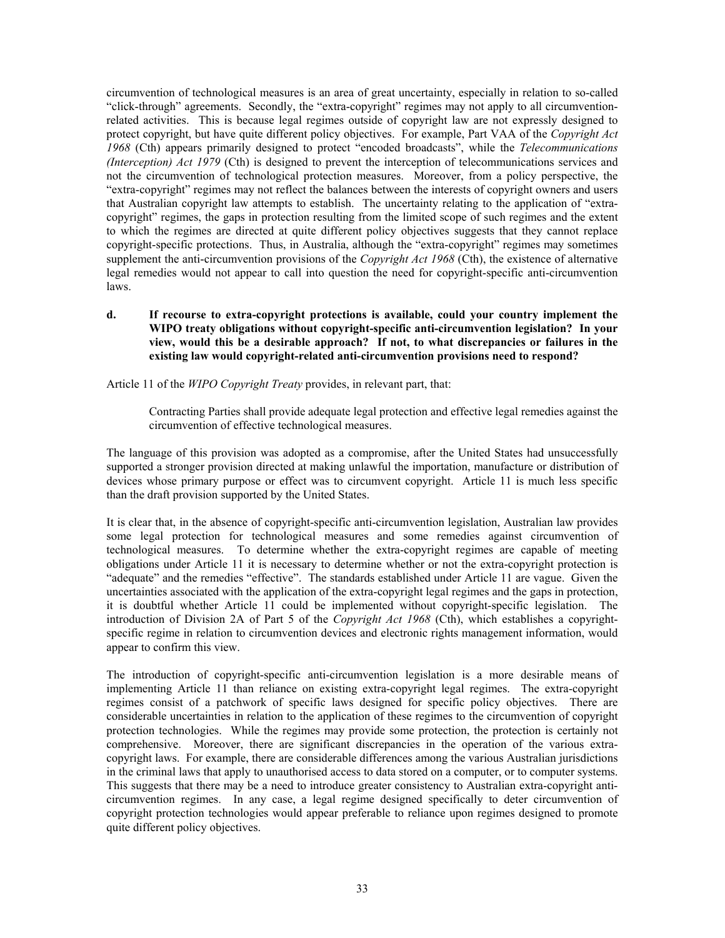circumvention of technological measures is an area of great uncertainty, especially in relation to so-called "click-through" agreements. Secondly, the "extra-copyright" regimes may not apply to all circumventionrelated activities. This is because legal regimes outside of copyright law are not expressly designed to protect copyright, but have quite different policy objectives. For example, Part VAA of the *Copyright Act 1968* (Cth) appears primarily designed to protect "encoded broadcasts", while the *Telecommunications (Interception) Act 1979* (Cth) is designed to prevent the interception of telecommunications services and not the circumvention of technological protection measures. Moreover, from a policy perspective, the "extra-copyright" regimes may not reflect the balances between the interests of copyright owners and users that Australian copyright law attempts to establish. The uncertainty relating to the application of "extracopyright" regimes, the gaps in protection resulting from the limited scope of such regimes and the extent to which the regimes are directed at quite different policy objectives suggests that they cannot replace copyright-specific protections. Thus, in Australia, although the "extra-copyright" regimes may sometimes supplement the anti-circumvention provisions of the *Copyright Act 1968* (Cth), the existence of alternative legal remedies would not appear to call into question the need for copyright-specific anti-circumvention laws.

## **d. If recourse to extra-copyright protections is available, could your country implement the WIPO treaty obligations without copyright-specific anti-circumvention legislation? In your view, would this be a desirable approach? If not, to what discrepancies or failures in the existing law would copyright-related anti-circumvention provisions need to respond?**

Article 11 of the *WIPO Copyright Treaty* provides, in relevant part, that:

Contracting Parties shall provide adequate legal protection and effective legal remedies against the circumvention of effective technological measures.

The language of this provision was adopted as a compromise, after the United States had unsuccessfully supported a stronger provision directed at making unlawful the importation, manufacture or distribution of devices whose primary purpose or effect was to circumvent copyright. Article 11 is much less specific than the draft provision supported by the United States.

It is clear that, in the absence of copyright-specific anti-circumvention legislation, Australian law provides some legal protection for technological measures and some remedies against circumvention of technological measures. To determine whether the extra-copyright regimes are capable of meeting obligations under Article 11 it is necessary to determine whether or not the extra-copyright protection is "adequate" and the remedies "effective". The standards established under Article 11 are vague. Given the uncertainties associated with the application of the extra-copyright legal regimes and the gaps in protection, it is doubtful whether Article 11 could be implemented without copyright-specific legislation. The introduction of Division 2A of Part 5 of the *Copyright Act 1968* (Cth), which establishes a copyrightspecific regime in relation to circumvention devices and electronic rights management information, would appear to confirm this view.

The introduction of copyright-specific anti-circumvention legislation is a more desirable means of implementing Article 11 than reliance on existing extra-copyright legal regimes. The extra-copyright regimes consist of a patchwork of specific laws designed for specific policy objectives. There are considerable uncertainties in relation to the application of these regimes to the circumvention of copyright protection technologies. While the regimes may provide some protection, the protection is certainly not comprehensive. Moreover, there are significant discrepancies in the operation of the various extracopyright laws. For example, there are considerable differences among the various Australian jurisdictions in the criminal laws that apply to unauthorised access to data stored on a computer, or to computer systems. This suggests that there may be a need to introduce greater consistency to Australian extra-copyright anticircumvention regimes. In any case, a legal regime designed specifically to deter circumvention of copyright protection technologies would appear preferable to reliance upon regimes designed to promote quite different policy objectives.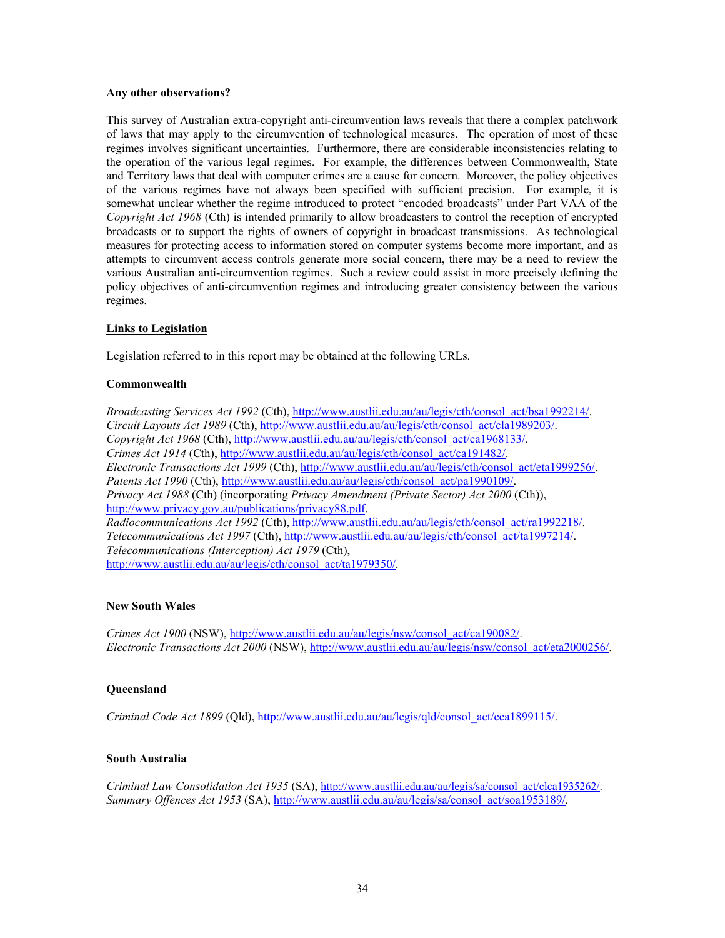#### **Any other observations?**

This survey of Australian extra-copyright anti-circumvention laws reveals that there a complex patchwork of laws that may apply to the circumvention of technological measures. The operation of most of these regimes involves significant uncertainties. Furthermore, there are considerable inconsistencies relating to the operation of the various legal regimes. For example, the differences between Commonwealth, State and Territory laws that deal with computer crimes are a cause for concern. Moreover, the policy objectives of the various regimes have not always been specified with sufficient precision. For example, it is somewhat unclear whether the regime introduced to protect "encoded broadcasts" under Part VAA of the *Copyright Act 1968* (Cth) is intended primarily to allow broadcasters to control the reception of encrypted broadcasts or to support the rights of owners of copyright in broadcast transmissions. As technological measures for protecting access to information stored on computer systems become more important, and as attempts to circumvent access controls generate more social concern, there may be a need to review the various Australian anti-circumvention regimes. Such a review could assist in more precisely defining the policy objectives of anti-circumvention regimes and introducing greater consistency between the various regimes.

## **Links to Legislation**

Legislation referred to in this report may be obtained at the following URLs.

# **Commonwealth**

*Broadcasting Services Act 1992* (Cth), [http://www.austlii.edu.au/au/legis/cth/consol\\_act/bsa1992214/.](http://www.austlii.edu.au/au/legis/cth/consol_act/bsa1992214/) *Circuit Layouts Act 1989* (Cth), [http://www.austlii.edu.au/au/legis/cth/consol\\_act/cla1989203/.](http://www.austlii.edu.au/au/legis/cth/consol_act/cla1989203/) *Copyright Act 1968* (Cth), [http://www.austlii.edu.au/au/legis/cth/consol\\_act/ca1968133/.](http://www.austlii.edu.au/au/legis/cth/consol_act/ca1968133/) *Crimes Act 1914* (Cth), [http://www.austlii.edu.au/au/legis/cth/consol\\_act/ca191482/.](http://www.austlii.edu.au/au/legis/cth/consol_act/ca191482/)  *Electronic Transactions Act 1999* (Cth), [http://www.austlii.edu.au/au/legis/cth/consol\\_act/eta1999256/.](http://www.austlii.edu.au/au/legis/cth/consol_act/eta1999256/) Patents Act 1990 (Cth), [http://www.austlii.edu.au/au/legis/cth/consol\\_act/pa1990109/.](http://www.austlii.edu.au/au/legis/cth/consol_act/pa1990109/) *Privacy Act 1988* (Cth) (incorporating *Privacy Amendment (Private Sector) Act 2000* (Cth)), [http://www.privacy.gov.au/publications/privacy88.pdf.](http://www.privacy.gov.au/publications/privacy88.pdf) *Radiocommunications Act 1992* (Cth), [http://www.austlii.edu.au/au/legis/cth/consol\\_act/ra1992218/.](http://www.austlii.edu.au/au/legis/cth/consol_act/ra1992218/) *Telecommunications Act 1997* (Cth), [http://www.austlii.edu.au/au/legis/cth/consol\\_act/ta1997214/.](http://www.austlii.edu.au/au/legis/cth/consol_act/ta1997214/) *Telecommunications (Interception) Act 1979* (Cth), http://www.austlii.edu.au/au/legis/cth/consol\_act/ta1979350/.

## **New South Wales**

*Crimes Act 1900* (NSW), [http://www.austlii.edu.au/au/legis/nsw/consol\\_act/ca190082/.](http://www.austlii.edu.au/au/legis/nsw/consol_act/ca190082/) *Electronic Transactions Act 2000* (NSW), [http://www.austlii.edu.au/au/legis/nsw/consol\\_act/eta2000256/.](http://www.austlii.edu.au/au/legis/nsw/consol_act/eta2000256/) 

## **Queensland**

*Criminal Code Act 1899* (Qld), [http://www.austlii.edu.au/au/legis/qld/consol\\_act/cca1899115/.](http://www.austlii.edu.au/au/legis/qld/consol_act/cca1899115/)

## **South Australia**

*Criminal Law Consolidation Act 1935* (SA), [http://www.austlii.edu.au/au/legis/sa/consol\\_act/clca1935262/.](http://www.austlii.edu.au/au/legis/sa/consol_act/clca1935262/) *Summary Offences Act 1953* (SA), [http://www.austlii.edu.au/au/legis/sa/consol\\_act/soa1953189/.](http://www.austlii.edu.au/au/legis/sa/consol_act/soa1953189/)